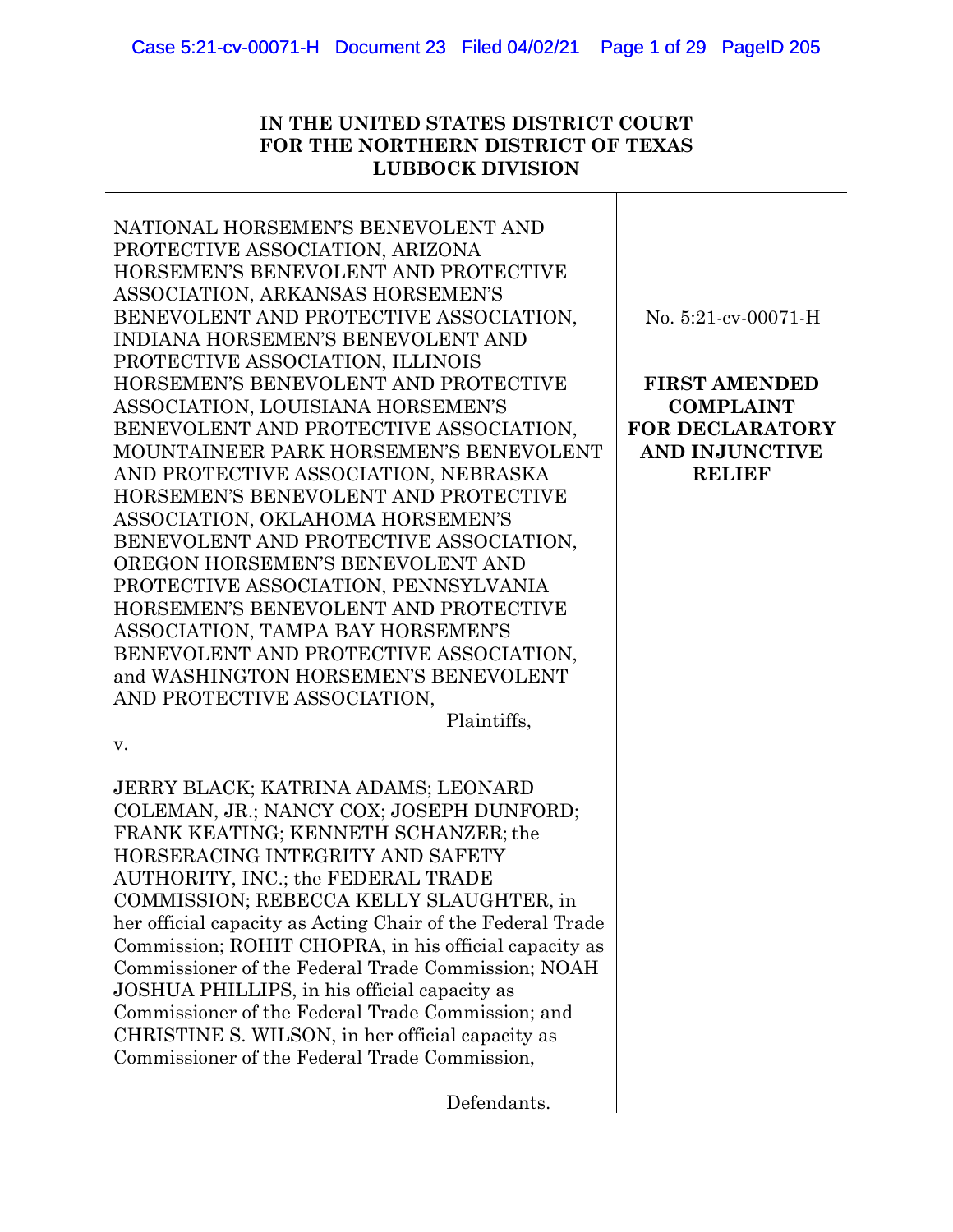# **IN THE UNITED STATES DISTRICT COURT FOR THE NORTHERN DISTRICT OF TEXAS LUBBOCK DIVISION**

NATIONAL HORSEMEN'S BENEVOLENT AND PROTECTIVE ASSOCIATION, ARIZONA HORSEMEN'S BENEVOLENT AND PROTECTIVE ASSOCIATION, ARKANSAS HORSEMEN'S BENEVOLENT AND PROTECTIVE ASSOCIATION, INDIANA HORSEMEN'S BENEVOLENT AND PROTECTIVE ASSOCIATION, ILLINOIS HORSEMEN'S BENEVOLENT AND PROTECTIVE ASSOCIATION, LOUISIANA HORSEMEN'S BENEVOLENT AND PROTECTIVE ASSOCIATION, MOUNTAINEER PARK HORSEMEN'S BENEVOLENT AND PROTECTIVE ASSOCIATION, NEBRASKA HORSEMEN'S BENEVOLENT AND PROTECTIVE ASSOCIATION, OKLAHOMA HORSEMEN'S BENEVOLENT AND PROTECTIVE ASSOCIATION, OREGON HORSEMEN'S BENEVOLENT AND PROTECTIVE ASSOCIATION, PENNSYLVANIA HORSEMEN'S BENEVOLENT AND PROTECTIVE ASSOCIATION, TAMPA BAY HORSEMEN'S BENEVOLENT AND PROTECTIVE ASSOCIATION, and WASHINGTON HORSEMEN'S BENEVOLENT AND PROTECTIVE ASSOCIATION,

Plaintiffs,

v.

JERRY BLACK; KATRINA ADAMS; LEONARD COLEMAN, JR.; NANCY COX; JOSEPH DUNFORD; FRANK KEATING; KENNETH SCHANZER; the HORSERACING INTEGRITY AND SAFETY AUTHORITY, INC.; the FEDERAL TRADE COMMISSION; REBECCA KELLY SLAUGHTER, in her official capacity as Acting Chair of the Federal Trade Commission; ROHIT CHOPRA, in his official capacity as Commissioner of the Federal Trade Commission; NOAH JOSHUA PHILLIPS, in his official capacity as Commissioner of the Federal Trade Commission; and CHRISTINE S. WILSON, in her official capacity as Commissioner of the Federal Trade Commission,

No. 5:21-cv-00071-H

**FIRST AMENDED COMPLAINT FOR DECLARATORY AND INJUNCTIVE RELIEF**

Defendants.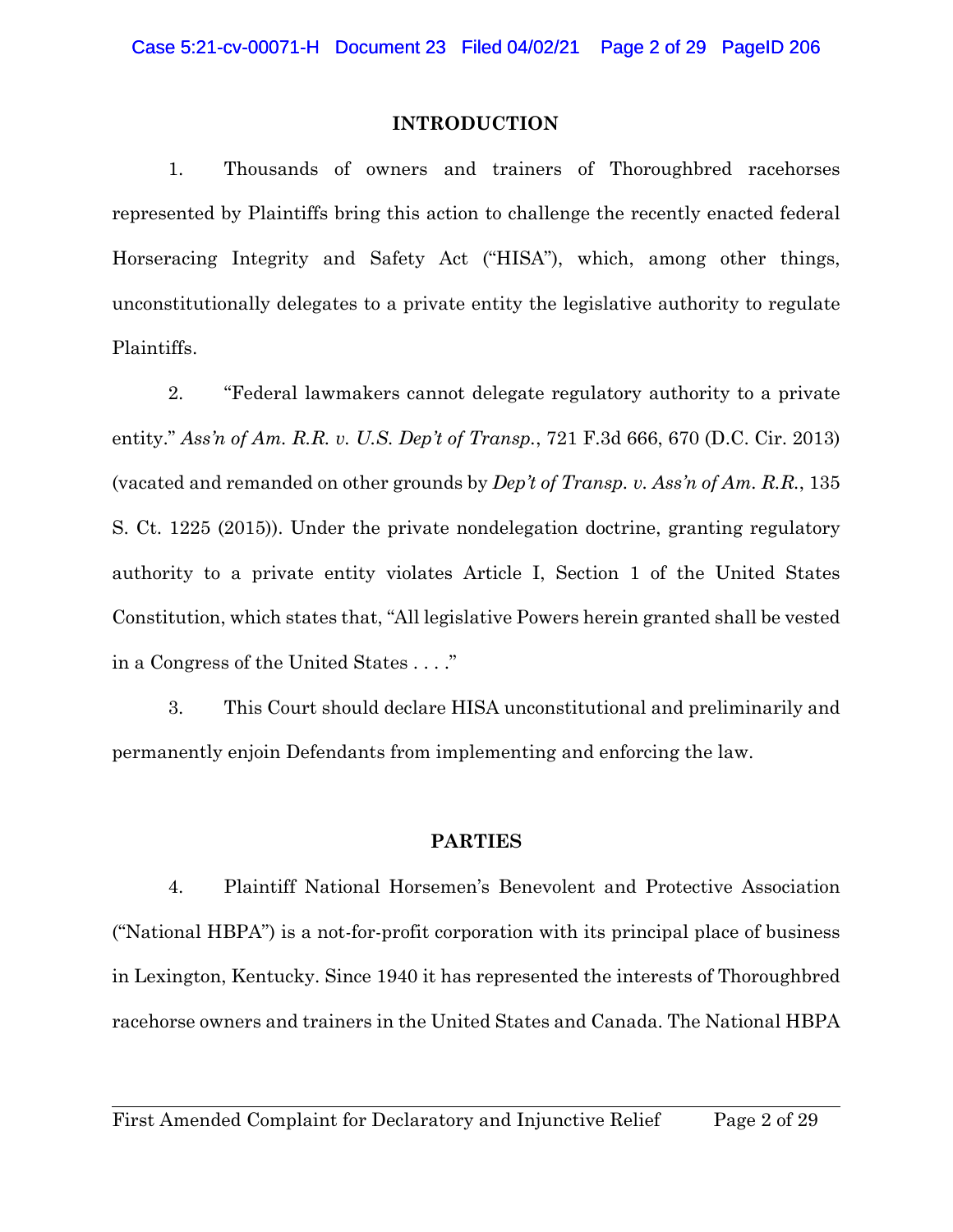## **INTRODUCTION**

1. Thousands of owners and trainers of Thoroughbred racehorses represented by Plaintiffs bring this action to challenge the recently enacted federal Horseracing Integrity and Safety Act ("HISA"), which, among other things, unconstitutionally delegates to a private entity the legislative authority to regulate Plaintiffs.

2. "Federal lawmakers cannot delegate regulatory authority to a private entity." *Ass'n of Am. R.R. v. U.S. Dep't of Transp.*, 721 F.3d 666, 670 (D.C. Cir. 2013) (vacated and remanded on other grounds by *Dep't of Transp. v. Ass'n of Am. R.R.*, 135 S. Ct. 1225 (2015)). Under the private nondelegation doctrine, granting regulatory authority to a private entity violates Article I, Section 1 of the United States Constitution, which states that, "All legislative Powers herein granted shall be vested in a Congress of the United States . . . ."

3. This Court should declare HISA unconstitutional and preliminarily and permanently enjoin Defendants from implementing and enforcing the law.

## **PARTIES**

4. Plaintiff National Horsemen's Benevolent and Protective Association ("National HBPA") is a not-for-profit corporation with its principal place of business in Lexington, Kentucky. Since 1940 it has represented the interests of Thoroughbred racehorse owners and trainers in the United States and Canada. The National HBPA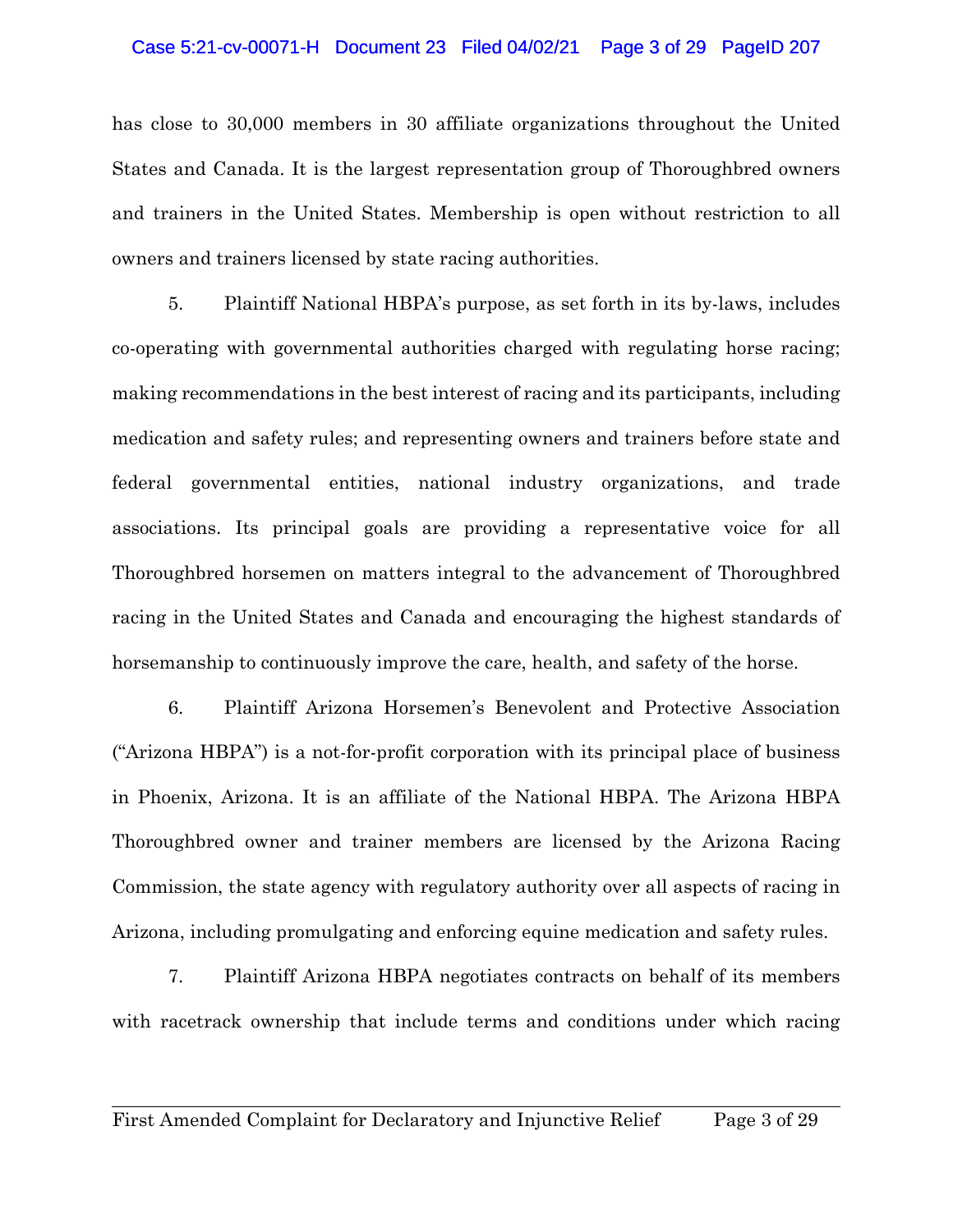#### Case 5:21-cv-00071-H Document 23 Filed 04/02/21 Page 3 of 29 PageID 207

has close to 30,000 members in 30 affiliate organizations throughout the United States and Canada. It is the largest representation group of Thoroughbred owners and trainers in the United States. Membership is open without restriction to all owners and trainers licensed by state racing authorities.

5. Plaintiff National HBPA's purpose, as set forth in its by-laws, includes co-operating with governmental authorities charged with regulating horse racing; making recommendations in the best interest of racing and its participants, including medication and safety rules; and representing owners and trainers before state and federal governmental entities, national industry organizations, and trade associations. Its principal goals are providing a representative voice for all Thoroughbred horsemen on matters integral to the advancement of Thoroughbred racing in the United States and Canada and encouraging the highest standards of horsemanship to continuously improve the care, health, and safety of the horse.

6. Plaintiff Arizona Horsemen's Benevolent and Protective Association ("Arizona HBPA") is a not-for-profit corporation with its principal place of business in Phoenix, Arizona. It is an affiliate of the National HBPA. The Arizona HBPA Thoroughbred owner and trainer members are licensed by the Arizona Racing Commission, the state agency with regulatory authority over all aspects of racing in Arizona, including promulgating and enforcing equine medication and safety rules.

7. Plaintiff Arizona HBPA negotiates contracts on behalf of its members with racetrack ownership that include terms and conditions under which racing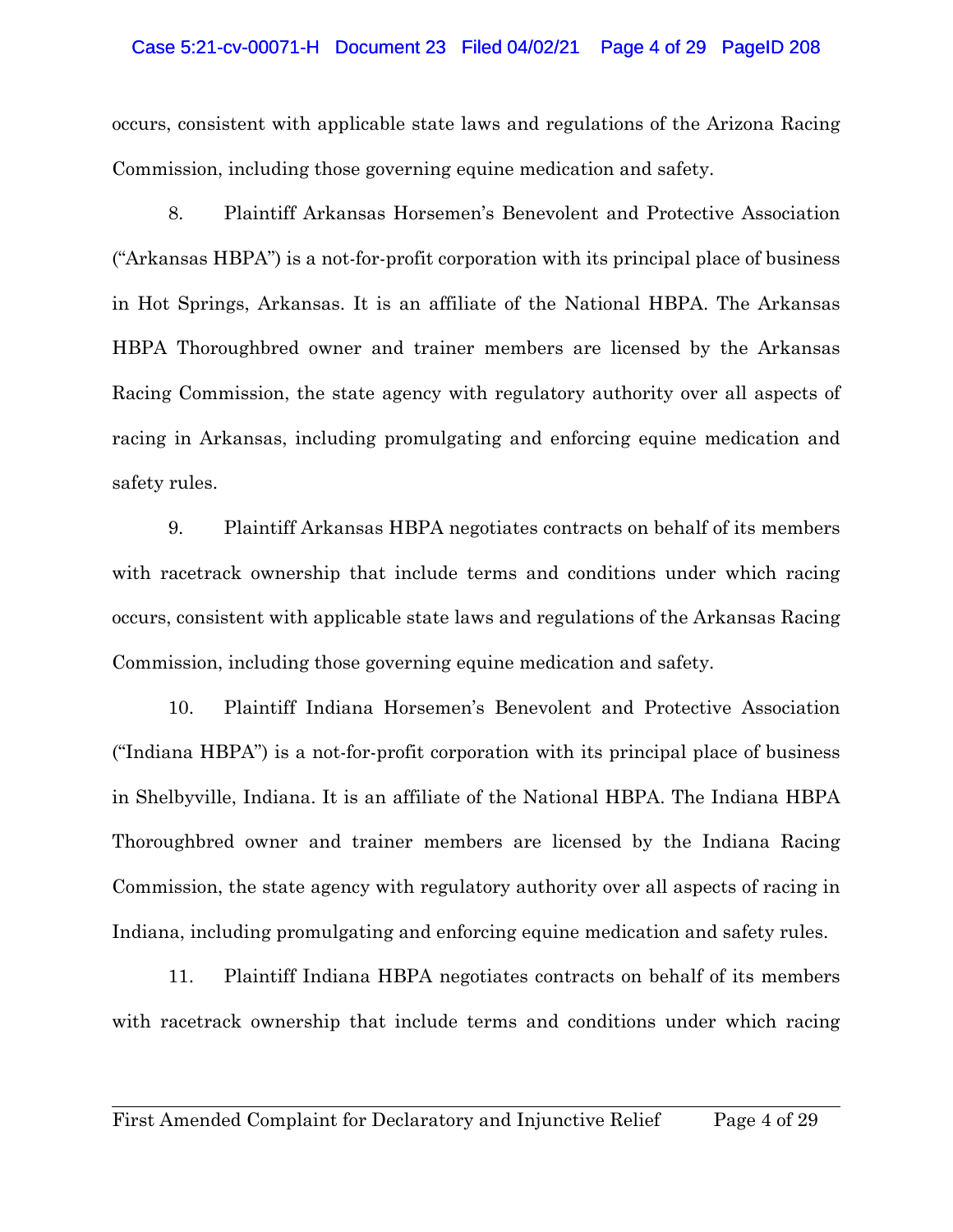#### Case 5:21-cv-00071-H Document 23 Filed 04/02/21 Page 4 of 29 PageID 208

occurs, consistent with applicable state laws and regulations of the Arizona Racing Commission, including those governing equine medication and safety.

8. Plaintiff Arkansas Horsemen's Benevolent and Protective Association ("Arkansas HBPA") is a not-for-profit corporation with its principal place of business in Hot Springs, Arkansas. It is an affiliate of the National HBPA. The Arkansas HBPA Thoroughbred owner and trainer members are licensed by the Arkansas Racing Commission, the state agency with regulatory authority over all aspects of racing in Arkansas, including promulgating and enforcing equine medication and safety rules.

9. Plaintiff Arkansas HBPA negotiates contracts on behalf of its members with racetrack ownership that include terms and conditions under which racing occurs, consistent with applicable state laws and regulations of the Arkansas Racing Commission, including those governing equine medication and safety.

10. Plaintiff Indiana Horsemen's Benevolent and Protective Association ("Indiana HBPA") is a not-for-profit corporation with its principal place of business in Shelbyville, Indiana. It is an affiliate of the National HBPA. The Indiana HBPA Thoroughbred owner and trainer members are licensed by the Indiana Racing Commission, the state agency with regulatory authority over all aspects of racing in Indiana, including promulgating and enforcing equine medication and safety rules.

11. Plaintiff Indiana HBPA negotiates contracts on behalf of its members with racetrack ownership that include terms and conditions under which racing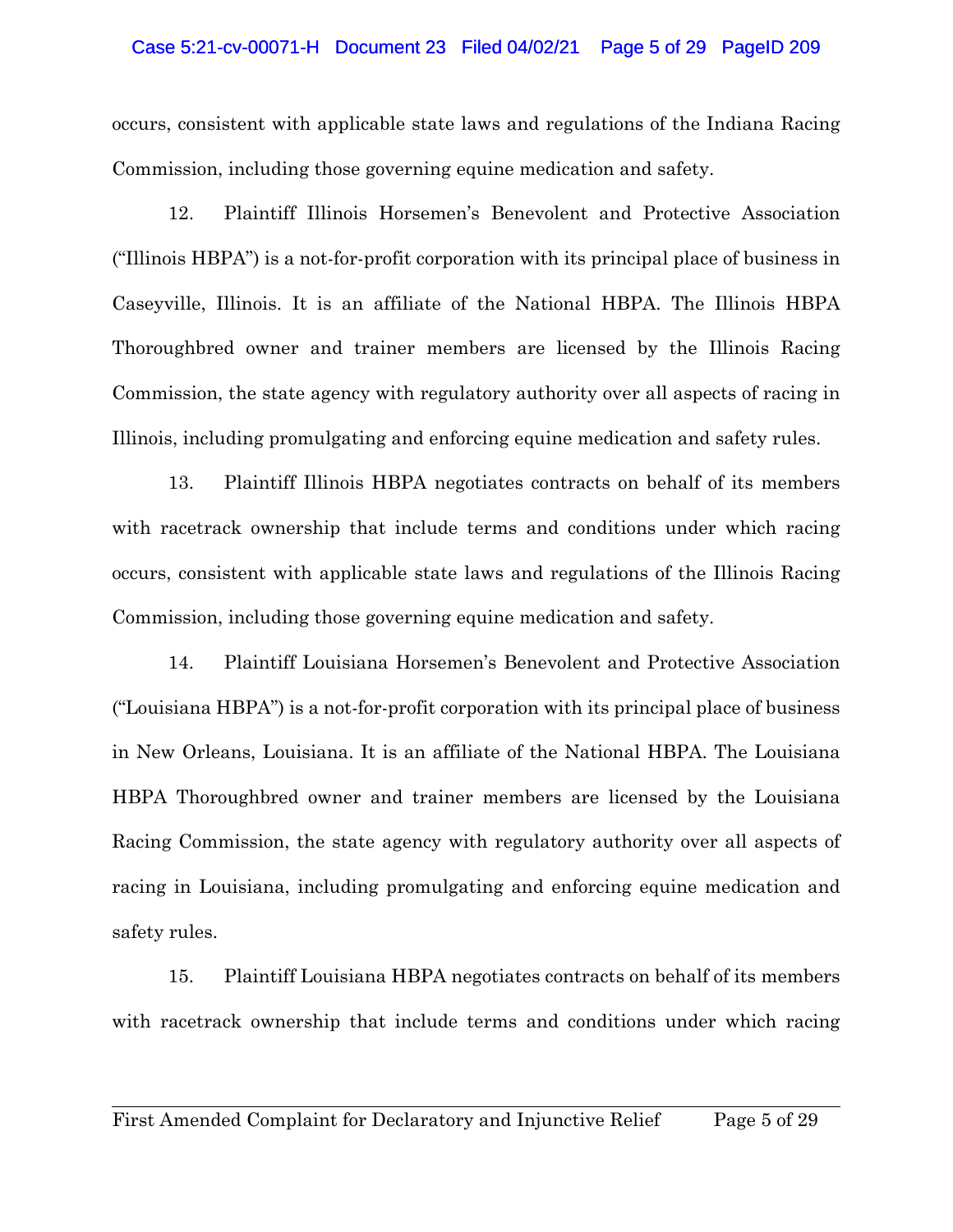## Case 5:21-cv-00071-H Document 23 Filed 04/02/21 Page 5 of 29 PageID 209

occurs, consistent with applicable state laws and regulations of the Indiana Racing Commission, including those governing equine medication and safety.

12. Plaintiff Illinois Horsemen's Benevolent and Protective Association ("Illinois HBPA") is a not-for-profit corporation with its principal place of business in Caseyville, Illinois. It is an affiliate of the National HBPA. The Illinois HBPA Thoroughbred owner and trainer members are licensed by the Illinois Racing Commission, the state agency with regulatory authority over all aspects of racing in Illinois, including promulgating and enforcing equine medication and safety rules.

13. Plaintiff Illinois HBPA negotiates contracts on behalf of its members with racetrack ownership that include terms and conditions under which racing occurs, consistent with applicable state laws and regulations of the Illinois Racing Commission, including those governing equine medication and safety.

14. Plaintiff Louisiana Horsemen's Benevolent and Protective Association ("Louisiana HBPA") is a not-for-profit corporation with its principal place of business in New Orleans, Louisiana. It is an affiliate of the National HBPA. The Louisiana HBPA Thoroughbred owner and trainer members are licensed by the Louisiana Racing Commission, the state agency with regulatory authority over all aspects of racing in Louisiana, including promulgating and enforcing equine medication and safety rules.

15. Plaintiff Louisiana HBPA negotiates contracts on behalf of its members with racetrack ownership that include terms and conditions under which racing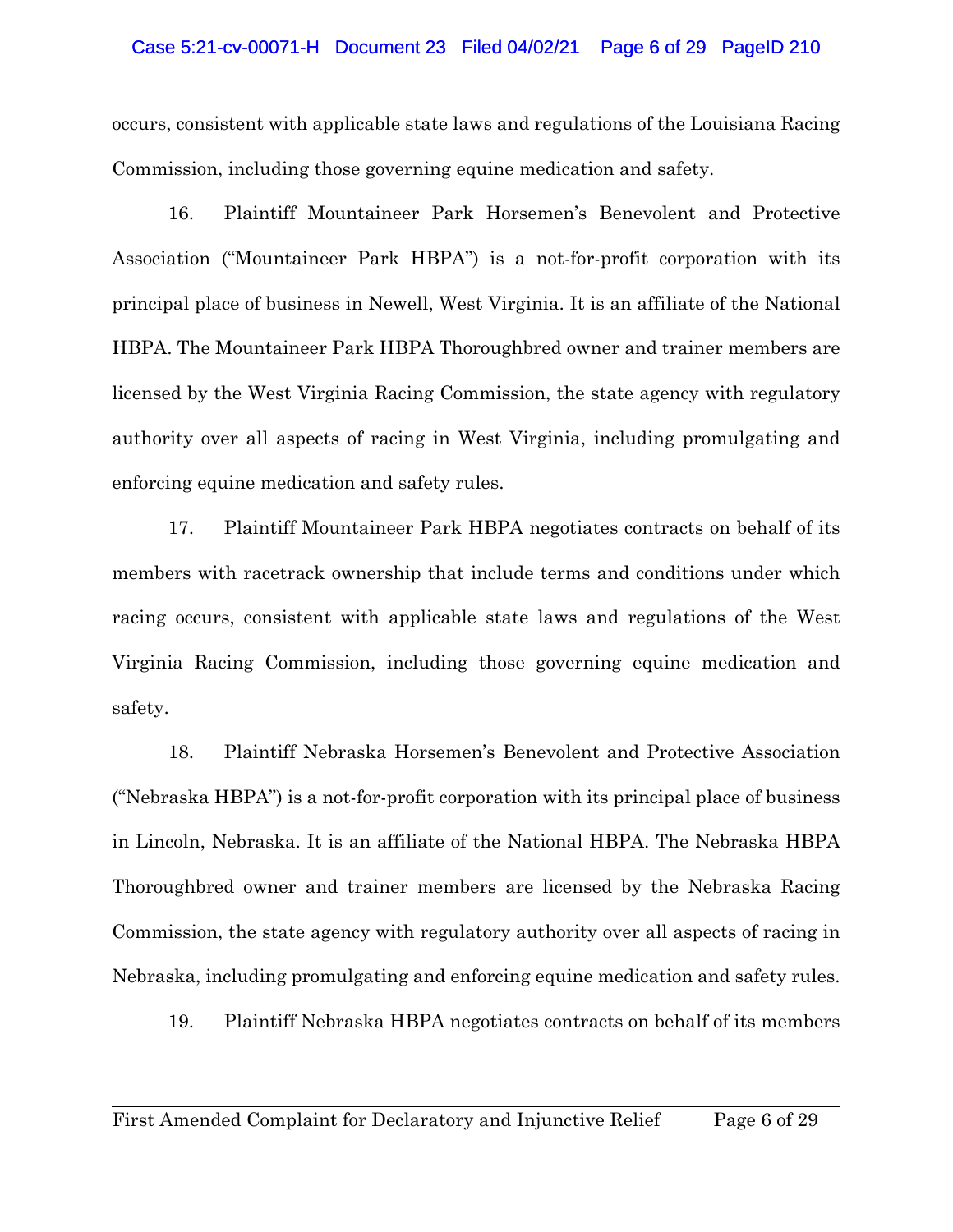#### Case 5:21-cv-00071-H Document 23 Filed 04/02/21 Page 6 of 29 PageID 210

occurs, consistent with applicable state laws and regulations of the Louisiana Racing Commission, including those governing equine medication and safety.

16. Plaintiff Mountaineer Park Horsemen's Benevolent and Protective Association ("Mountaineer Park HBPA") is a not-for-profit corporation with its principal place of business in Newell, West Virginia. It is an affiliate of the National HBPA. The Mountaineer Park HBPA Thoroughbred owner and trainer members are licensed by the West Virginia Racing Commission, the state agency with regulatory authority over all aspects of racing in West Virginia, including promulgating and enforcing equine medication and safety rules.

17. Plaintiff Mountaineer Park HBPA negotiates contracts on behalf of its members with racetrack ownership that include terms and conditions under which racing occurs, consistent with applicable state laws and regulations of the West Virginia Racing Commission, including those governing equine medication and safety.

18. Plaintiff Nebraska Horsemen's Benevolent and Protective Association ("Nebraska HBPA") is a not-for-profit corporation with its principal place of business in Lincoln, Nebraska. It is an affiliate of the National HBPA. The Nebraska HBPA Thoroughbred owner and trainer members are licensed by the Nebraska Racing Commission, the state agency with regulatory authority over all aspects of racing in Nebraska, including promulgating and enforcing equine medication and safety rules.

19. Plaintiff Nebraska HBPA negotiates contracts on behalf of its members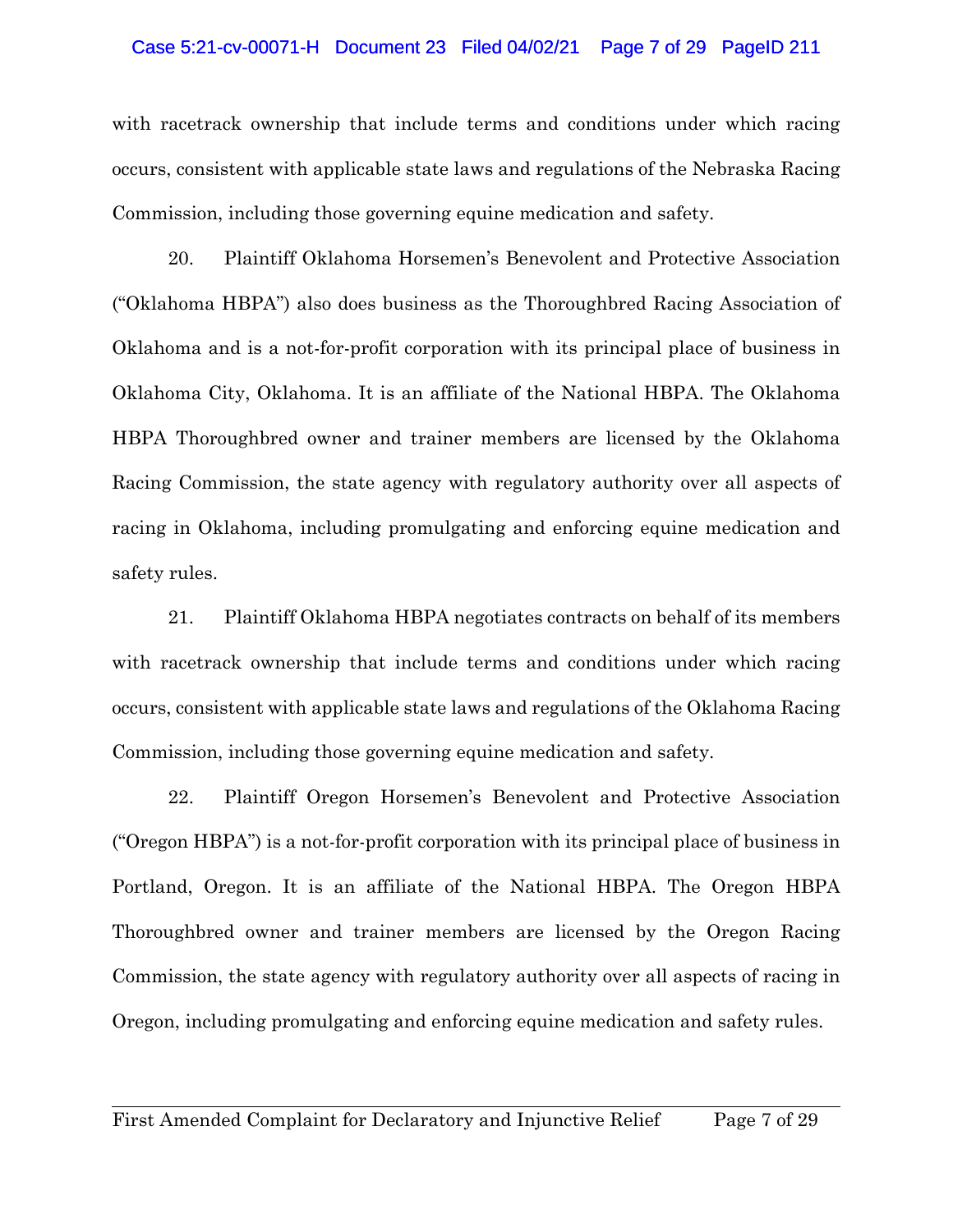#### Case 5:21-cv-00071-H Document 23 Filed 04/02/21 Page 7 of 29 PageID 211

with racetrack ownership that include terms and conditions under which racing occurs, consistent with applicable state laws and regulations of the Nebraska Racing Commission, including those governing equine medication and safety.

20. Plaintiff Oklahoma Horsemen's Benevolent and Protective Association ("Oklahoma HBPA") also does business as the Thoroughbred Racing Association of Oklahoma and is a not-for-profit corporation with its principal place of business in Oklahoma City, Oklahoma. It is an affiliate of the National HBPA. The Oklahoma HBPA Thoroughbred owner and trainer members are licensed by the Oklahoma Racing Commission, the state agency with regulatory authority over all aspects of racing in Oklahoma, including promulgating and enforcing equine medication and safety rules.

21. Plaintiff Oklahoma HBPA negotiates contracts on behalf of its members with racetrack ownership that include terms and conditions under which racing occurs, consistent with applicable state laws and regulations of the Oklahoma Racing Commission, including those governing equine medication and safety.

22. Plaintiff Oregon Horsemen's Benevolent and Protective Association ("Oregon HBPA") is a not-for-profit corporation with its principal place of business in Portland, Oregon. It is an affiliate of the National HBPA. The Oregon HBPA Thoroughbred owner and trainer members are licensed by the Oregon Racing Commission, the state agency with regulatory authority over all aspects of racing in Oregon, including promulgating and enforcing equine medication and safety rules.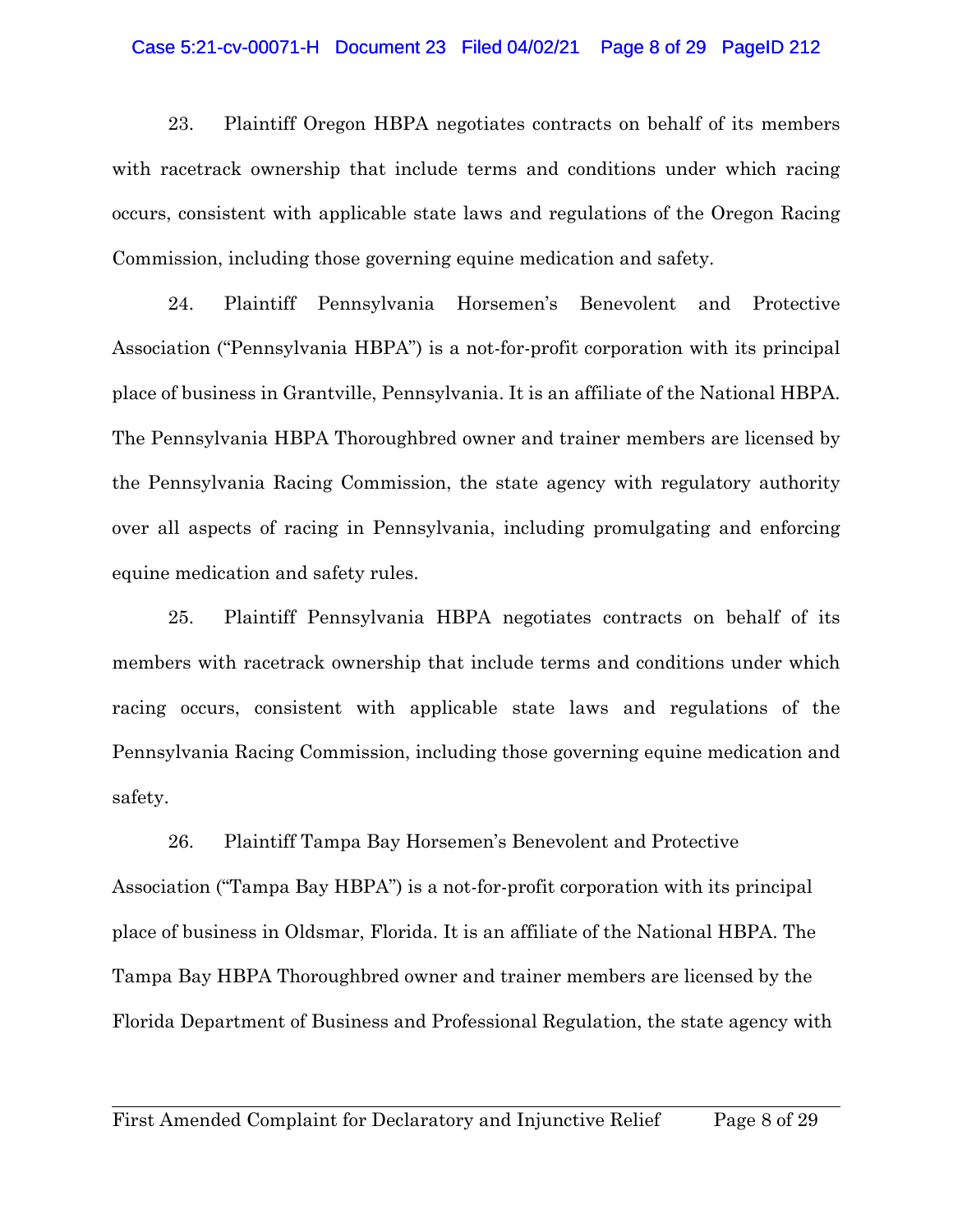#### Case 5:21-cv-00071-H Document 23 Filed 04/02/21 Page 8 of 29 PageID 212

23. Plaintiff Oregon HBPA negotiates contracts on behalf of its members with racetrack ownership that include terms and conditions under which racing occurs, consistent with applicable state laws and regulations of the Oregon Racing Commission, including those governing equine medication and safety.

24. Plaintiff Pennsylvania Horsemen's Benevolent and Protective Association ("Pennsylvania HBPA") is a not-for-profit corporation with its principal place of business in Grantville, Pennsylvania. It is an affiliate of the National HBPA. The Pennsylvania HBPA Thoroughbred owner and trainer members are licensed by the Pennsylvania Racing Commission, the state agency with regulatory authority over all aspects of racing in Pennsylvania, including promulgating and enforcing equine medication and safety rules.

25. Plaintiff Pennsylvania HBPA negotiates contracts on behalf of its members with racetrack ownership that include terms and conditions under which racing occurs, consistent with applicable state laws and regulations of the Pennsylvania Racing Commission, including those governing equine medication and safety.

26. Plaintiff Tampa Bay Horsemen's Benevolent and Protective Association ("Tampa Bay HBPA") is a not-for-profit corporation with its principal place of business in Oldsmar, Florida. It is an affiliate of the National HBPA. The Tampa Bay HBPA Thoroughbred owner and trainer members are licensed by the Florida Department of Business and Professional Regulation, the state agency with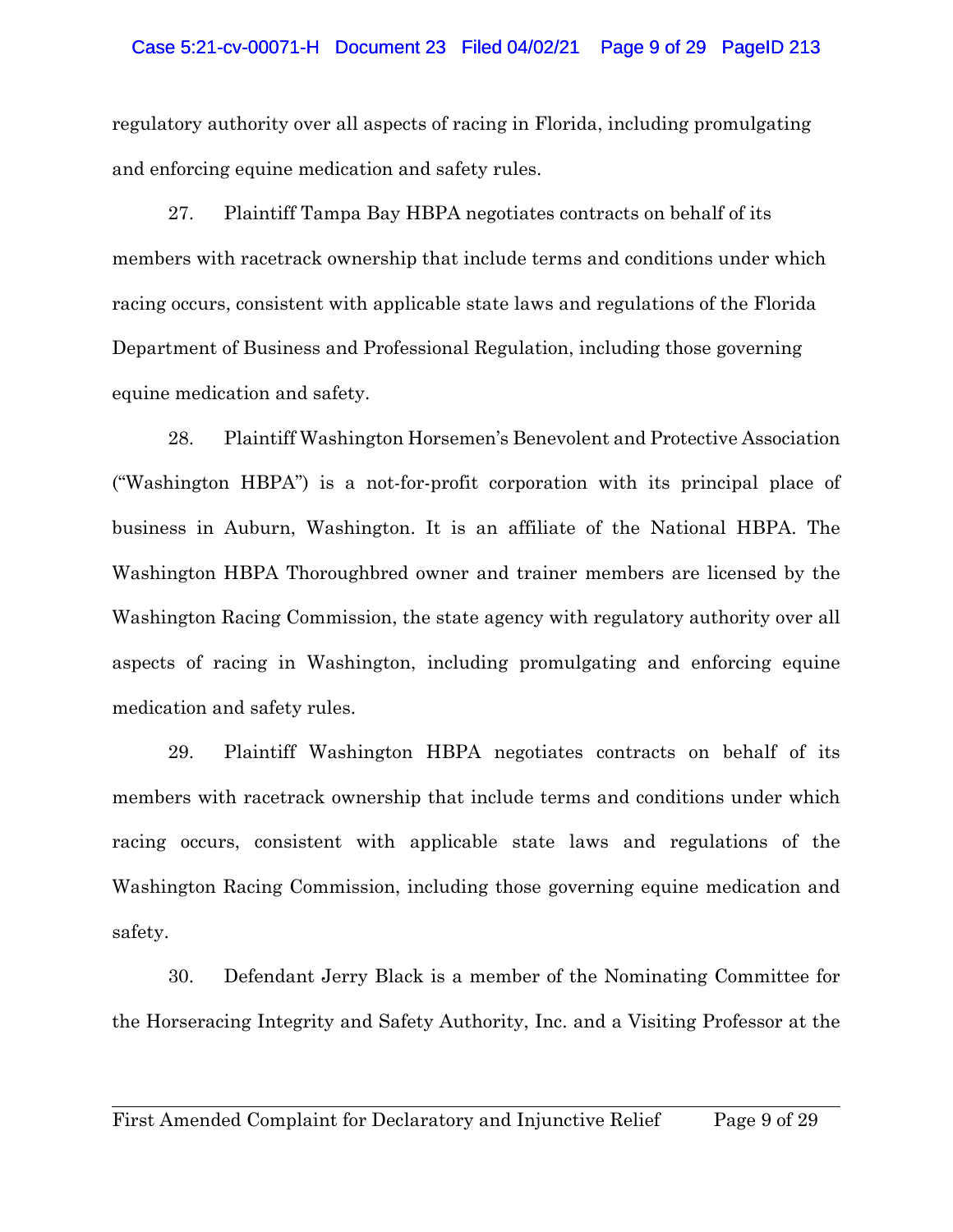## Case 5:21-cv-00071-H Document 23 Filed 04/02/21 Page 9 of 29 PageID 213

regulatory authority over all aspects of racing in Florida, including promulgating and enforcing equine medication and safety rules.

27. Plaintiff Tampa Bay HBPA negotiates contracts on behalf of its members with racetrack ownership that include terms and conditions under which racing occurs, consistent with applicable state laws and regulations of the Florida Department of Business and Professional Regulation, including those governing equine medication and safety.

28. Plaintiff Washington Horsemen's Benevolent and Protective Association ("Washington HBPA") is a not-for-profit corporation with its principal place of business in Auburn, Washington. It is an affiliate of the National HBPA. The Washington HBPA Thoroughbred owner and trainer members are licensed by the Washington Racing Commission, the state agency with regulatory authority over all aspects of racing in Washington, including promulgating and enforcing equine medication and safety rules.

29. Plaintiff Washington HBPA negotiates contracts on behalf of its members with racetrack ownership that include terms and conditions under which racing occurs, consistent with applicable state laws and regulations of the Washington Racing Commission, including those governing equine medication and safety.

30. Defendant Jerry Black is a member of the Nominating Committee for the Horseracing Integrity and Safety Authority, Inc. and a Visiting Professor at the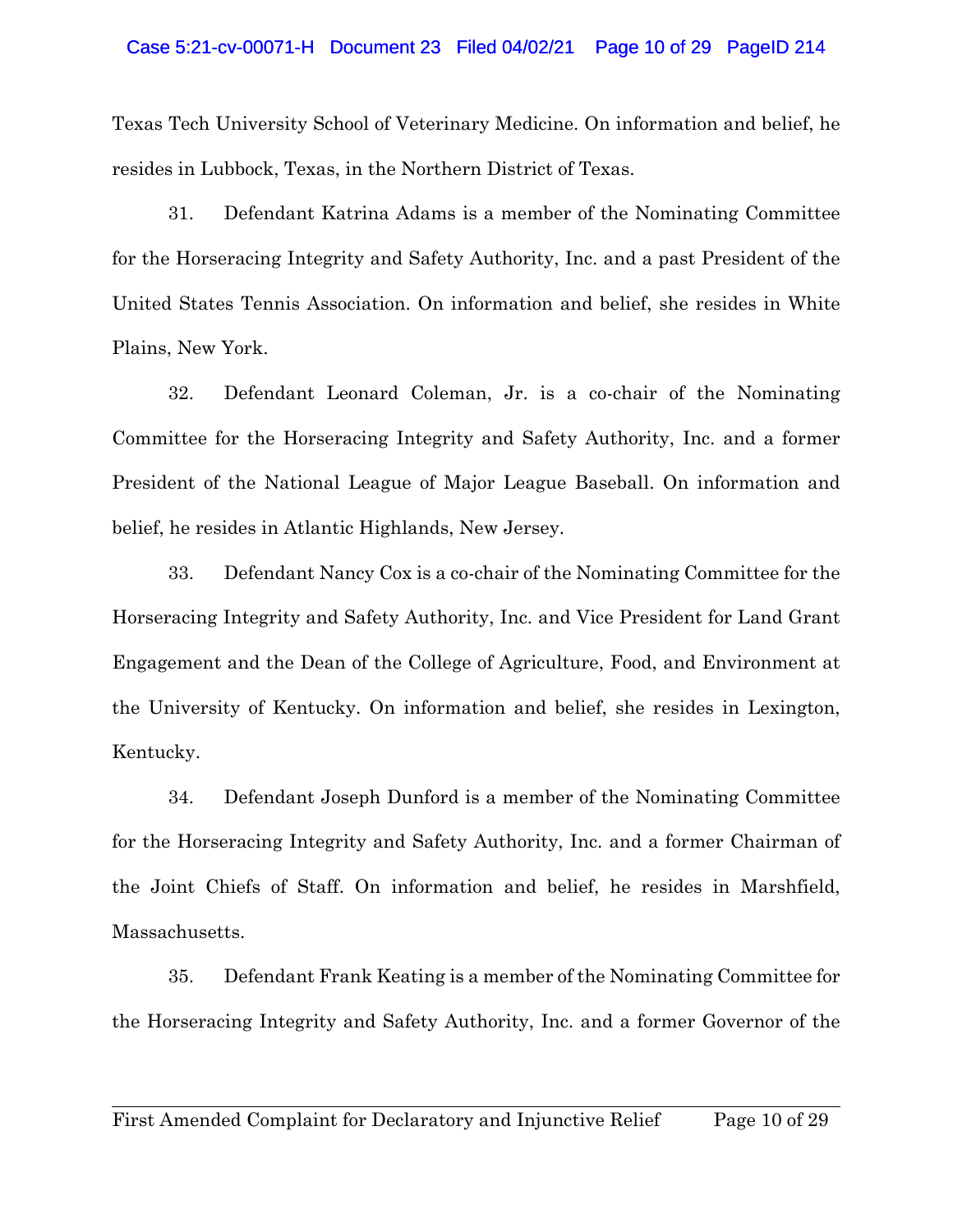## Case 5:21-cv-00071-H Document 23 Filed 04/02/21 Page 10 of 29 PageID 214

Texas Tech University School of Veterinary Medicine. On information and belief, he resides in Lubbock, Texas, in the Northern District of Texas.

31. Defendant Katrina Adams is a member of the Nominating Committee for the Horseracing Integrity and Safety Authority, Inc. and a past President of the United States Tennis Association. On information and belief, she resides in White Plains, New York.

32. Defendant Leonard Coleman, Jr. is a co-chair of the Nominating Committee for the Horseracing Integrity and Safety Authority, Inc. and a former President of the National League of Major League Baseball. On information and belief, he resides in Atlantic Highlands, New Jersey.

33. Defendant Nancy Cox is a co-chair of the Nominating Committee for the Horseracing Integrity and Safety Authority, Inc. and Vice President for Land Grant Engagement and the Dean of the College of Agriculture, Food, and Environment at the University of Kentucky. On information and belief, she resides in Lexington, Kentucky.

34. Defendant Joseph Dunford is a member of the Nominating Committee for the Horseracing Integrity and Safety Authority, Inc. and a former Chairman of the Joint Chiefs of Staff. On information and belief, he resides in Marshfield, Massachusetts.

35. Defendant Frank Keating is a member of the Nominating Committee for the Horseracing Integrity and Safety Authority, Inc. and a former Governor of the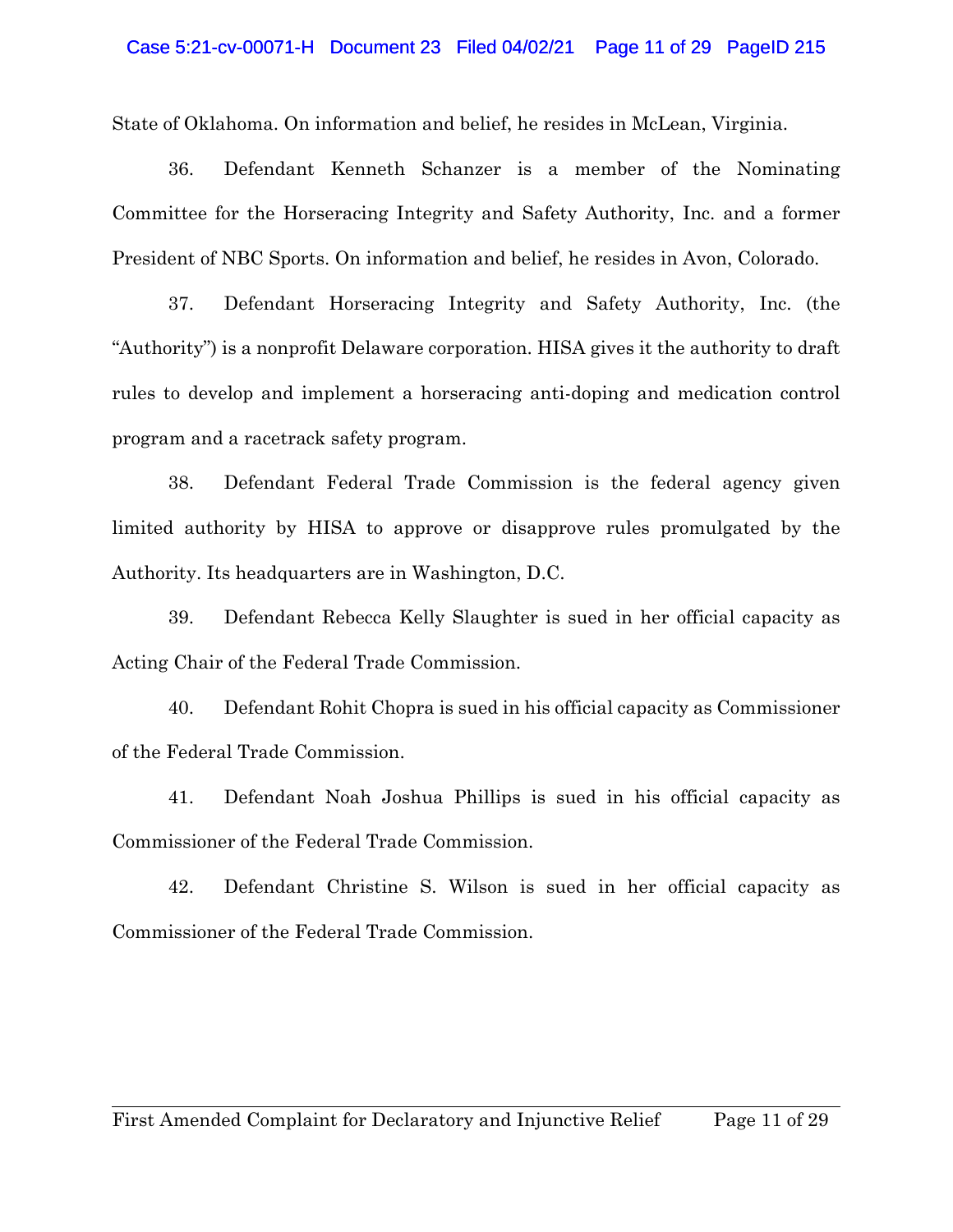#### Case 5:21-cv-00071-H Document 23 Filed 04/02/21 Page 11 of 29 PageID 215

State of Oklahoma. On information and belief, he resides in McLean, Virginia.

36. Defendant Kenneth Schanzer is a member of the Nominating Committee for the Horseracing Integrity and Safety Authority, Inc. and a former President of NBC Sports. On information and belief, he resides in Avon, Colorado.

37. Defendant Horseracing Integrity and Safety Authority, Inc. (the "Authority") is a nonprofit Delaware corporation. HISA gives it the authority to draft rules to develop and implement a horseracing anti-doping and medication control program and a racetrack safety program.

38. Defendant Federal Trade Commission is the federal agency given limited authority by HISA to approve or disapprove rules promulgated by the Authority. Its headquarters are in Washington, D.C.

39. Defendant Rebecca Kelly Slaughter is sued in her official capacity as Acting Chair of the Federal Trade Commission.

40. Defendant Rohit Chopra is sued in his official capacity as Commissioner of the Federal Trade Commission.

41. Defendant Noah Joshua Phillips is sued in his official capacity as Commissioner of the Federal Trade Commission.

42. Defendant Christine S. Wilson is sued in her official capacity as Commissioner of the Federal Trade Commission.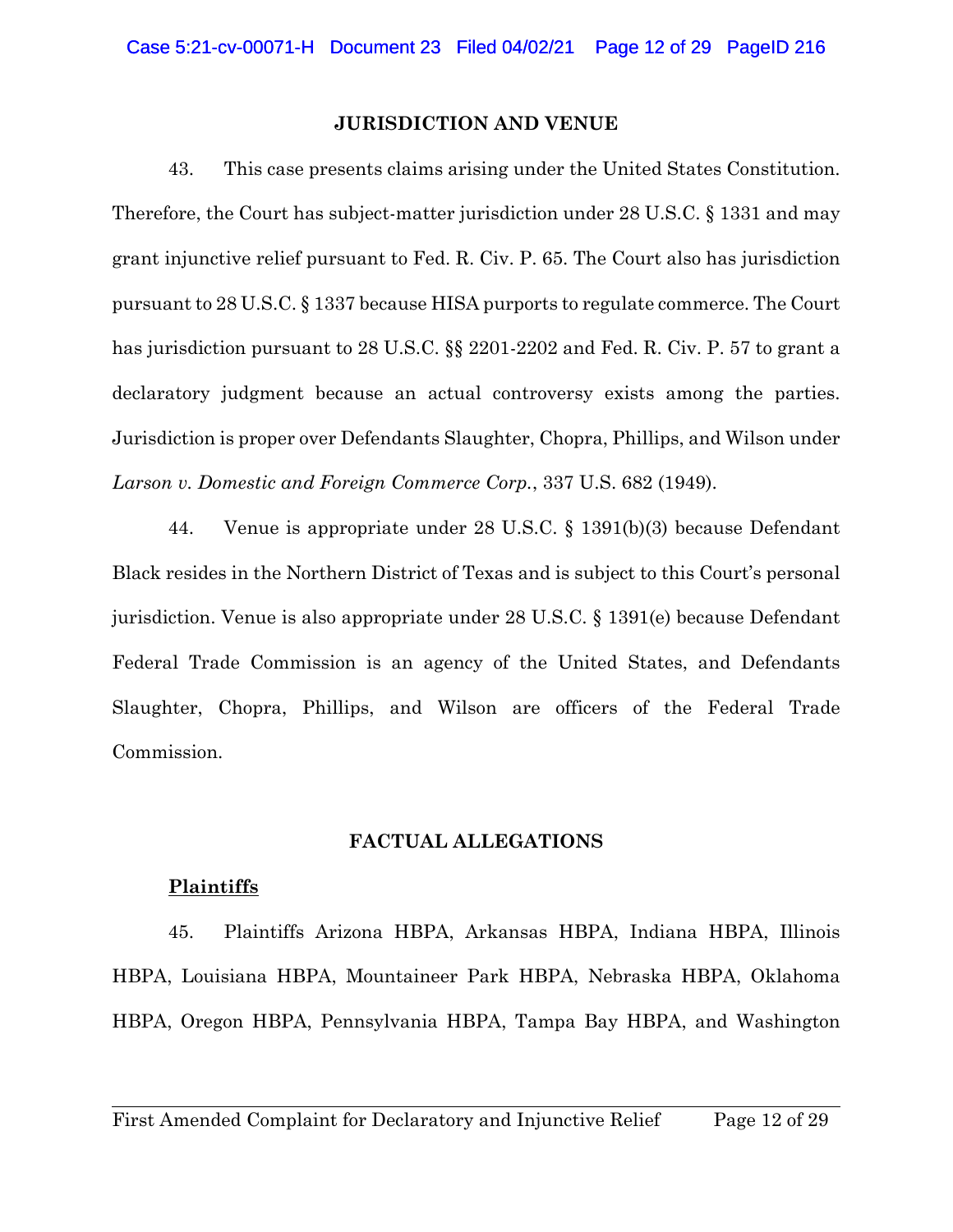#### **JURISDICTION AND VENUE**

43. This case presents claims arising under the United States Constitution. Therefore, the Court has subject-matter jurisdiction under 28 U.S.C. § 1331 and may grant injunctive relief pursuant to Fed. R. Civ. P. 65. The Court also has jurisdiction pursuant to 28 U.S.C. § 1337 because HISA purports to regulate commerce. The Court has jurisdiction pursuant to 28 U.S.C. §§ 2201-2202 and Fed. R. Civ. P. 57 to grant a declaratory judgment because an actual controversy exists among the parties. Jurisdiction is proper over Defendants Slaughter, Chopra, Phillips, and Wilson under *Larson v. Domestic and Foreign Commerce Corp.*, 337 U.S. 682 (1949).

44. Venue is appropriate under 28 U.S.C. § 1391(b)(3) because Defendant Black resides in the Northern District of Texas and is subject to this Court's personal jurisdiction. Venue is also appropriate under 28 U.S.C. § 1391(e) because Defendant Federal Trade Commission is an agency of the United States, and Defendants Slaughter, Chopra, Phillips, and Wilson are officers of the Federal Trade Commission.

#### **FACTUAL ALLEGATIONS**

## **Plaintiffs**

45. Plaintiffs Arizona HBPA, Arkansas HBPA, Indiana HBPA, Illinois HBPA, Louisiana HBPA, Mountaineer Park HBPA, Nebraska HBPA, Oklahoma HBPA, Oregon HBPA, Pennsylvania HBPA, Tampa Bay HBPA, and Washington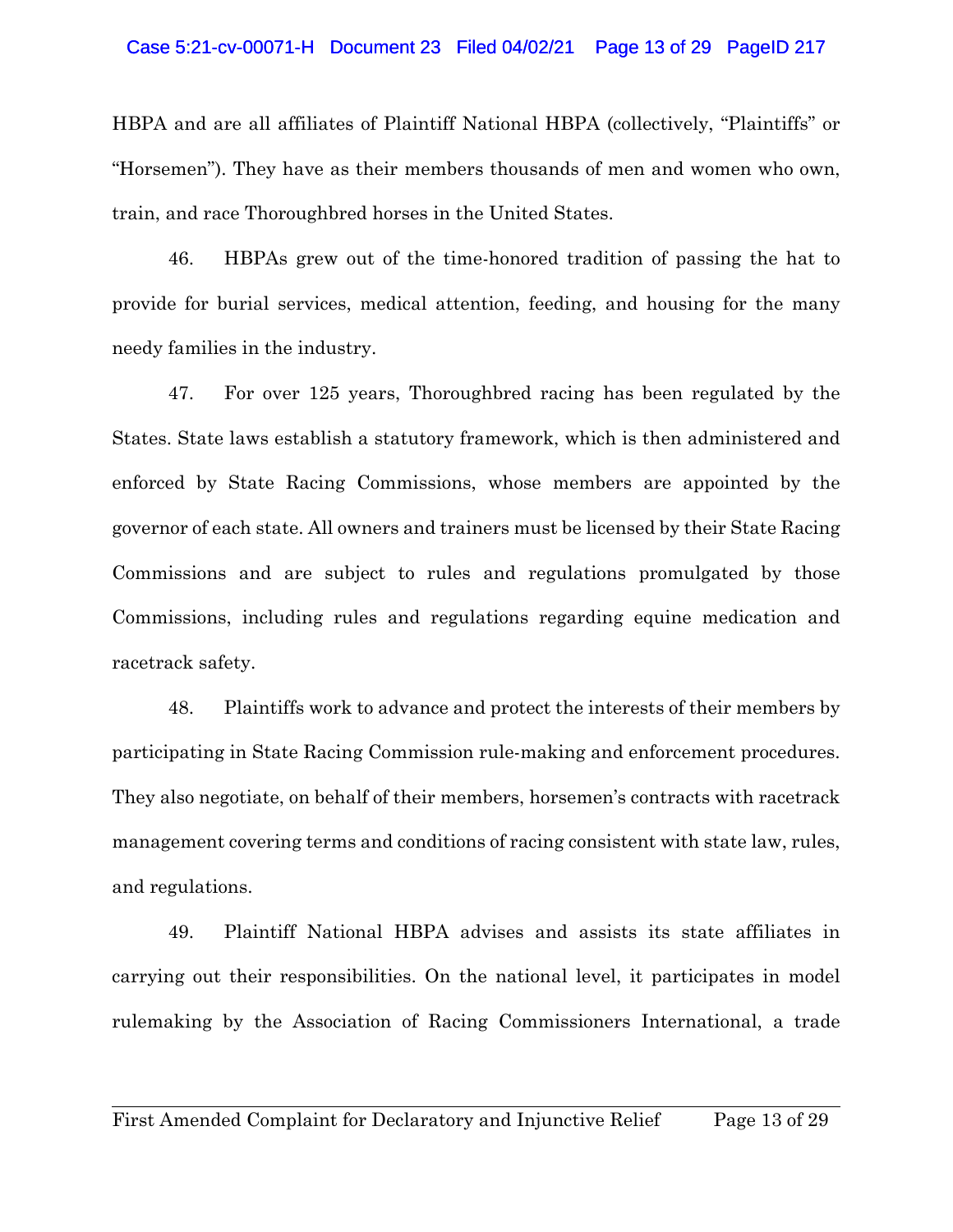#### Case 5:21-cv-00071-H Document 23 Filed 04/02/21 Page 13 of 29 PageID 217

HBPA and are all affiliates of Plaintiff National HBPA (collectively, "Plaintiffs" or "Horsemen"). They have as their members thousands of men and women who own, train, and race Thoroughbred horses in the United States.

46. HBPAs grew out of the time-honored tradition of passing the hat to provide for burial services, medical attention, feeding, and housing for the many needy families in the industry.

47. For over 125 years, Thoroughbred racing has been regulated by the States. State laws establish a statutory framework, which is then administered and enforced by State Racing Commissions, whose members are appointed by the governor of each state. All owners and trainers must be licensed by their State Racing Commissions and are subject to rules and regulations promulgated by those Commissions, including rules and regulations regarding equine medication and racetrack safety.

48. Plaintiffs work to advance and protect the interests of their members by participating in State Racing Commission rule-making and enforcement procedures. They also negotiate, on behalf of their members, horsemen's contracts with racetrack management covering terms and conditions of racing consistent with state law, rules, and regulations.

49. Plaintiff National HBPA advises and assists its state affiliates in carrying out their responsibilities. On the national level, it participates in model rulemaking by the Association of Racing Commissioners International, a trade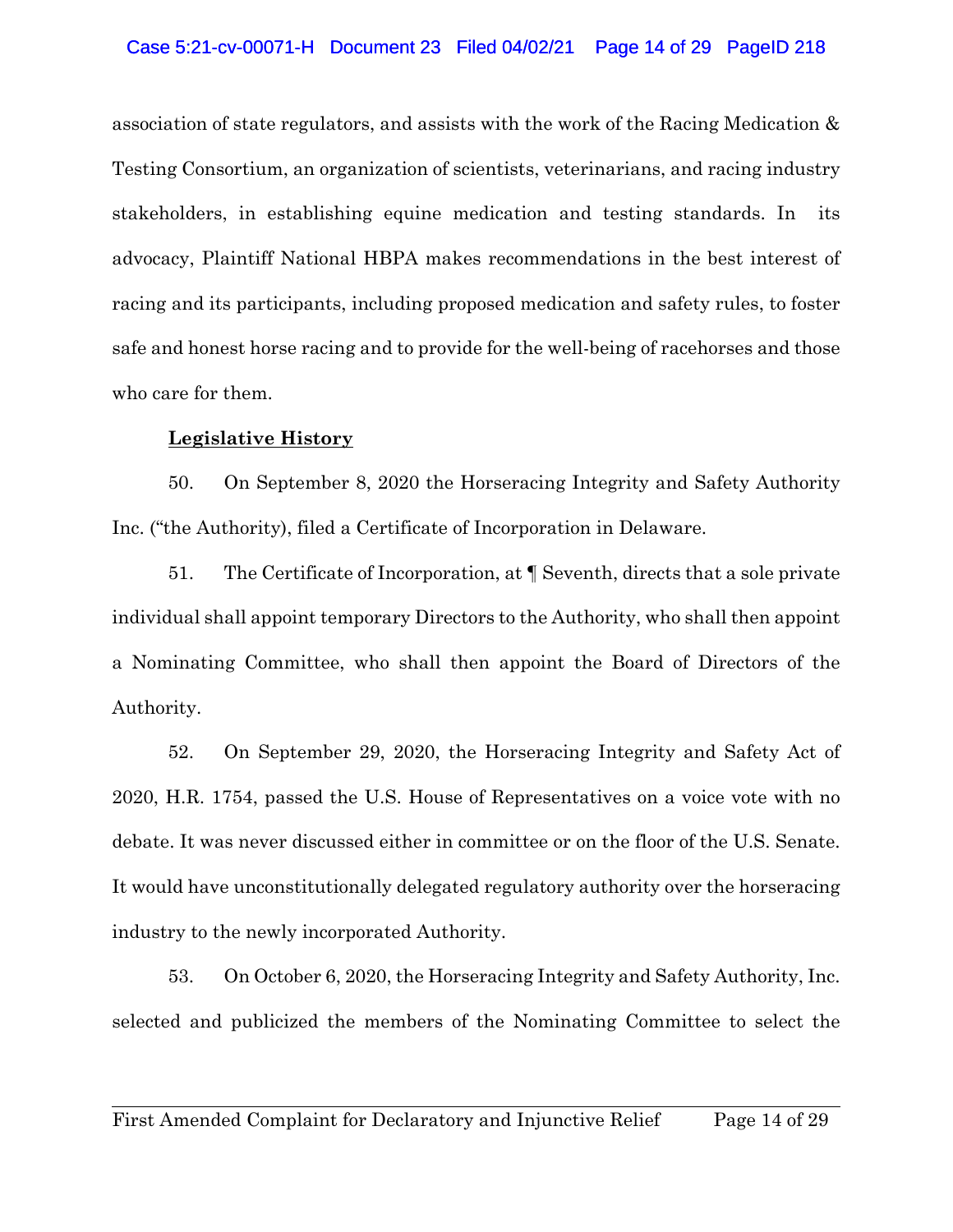## Case 5:21-cv-00071-H Document 23 Filed 04/02/21 Page 14 of 29 PageID 218

association of state regulators, and assists with the work of the Racing Medication & Testing Consortium, an organization of scientists, veterinarians, and racing industry stakeholders, in establishing equine medication and testing standards. In its advocacy, Plaintiff National HBPA makes recommendations in the best interest of racing and its participants, including proposed medication and safety rules, to foster safe and honest horse racing and to provide for the well-being of racehorses and those who care for them.

# **Legislative History**

50. On September 8, 2020 the Horseracing Integrity and Safety Authority Inc. ("the Authority), filed a Certificate of Incorporation in Delaware.

51. The Certificate of Incorporation, at ¶ Seventh, directs that a sole private individual shall appoint temporary Directors to the Authority, who shall then appoint a Nominating Committee, who shall then appoint the Board of Directors of the Authority.

52. On September 29, 2020, the Horseracing Integrity and Safety Act of 2020, H.R. 1754, passed the U.S. House of Representatives on a voice vote with no debate. It was never discussed either in committee or on the floor of the U.S. Senate. It would have unconstitutionally delegated regulatory authority over the horseracing industry to the newly incorporated Authority.

53. On October 6, 2020, the Horseracing Integrity and Safety Authority, Inc. selected and publicized the members of the Nominating Committee to select the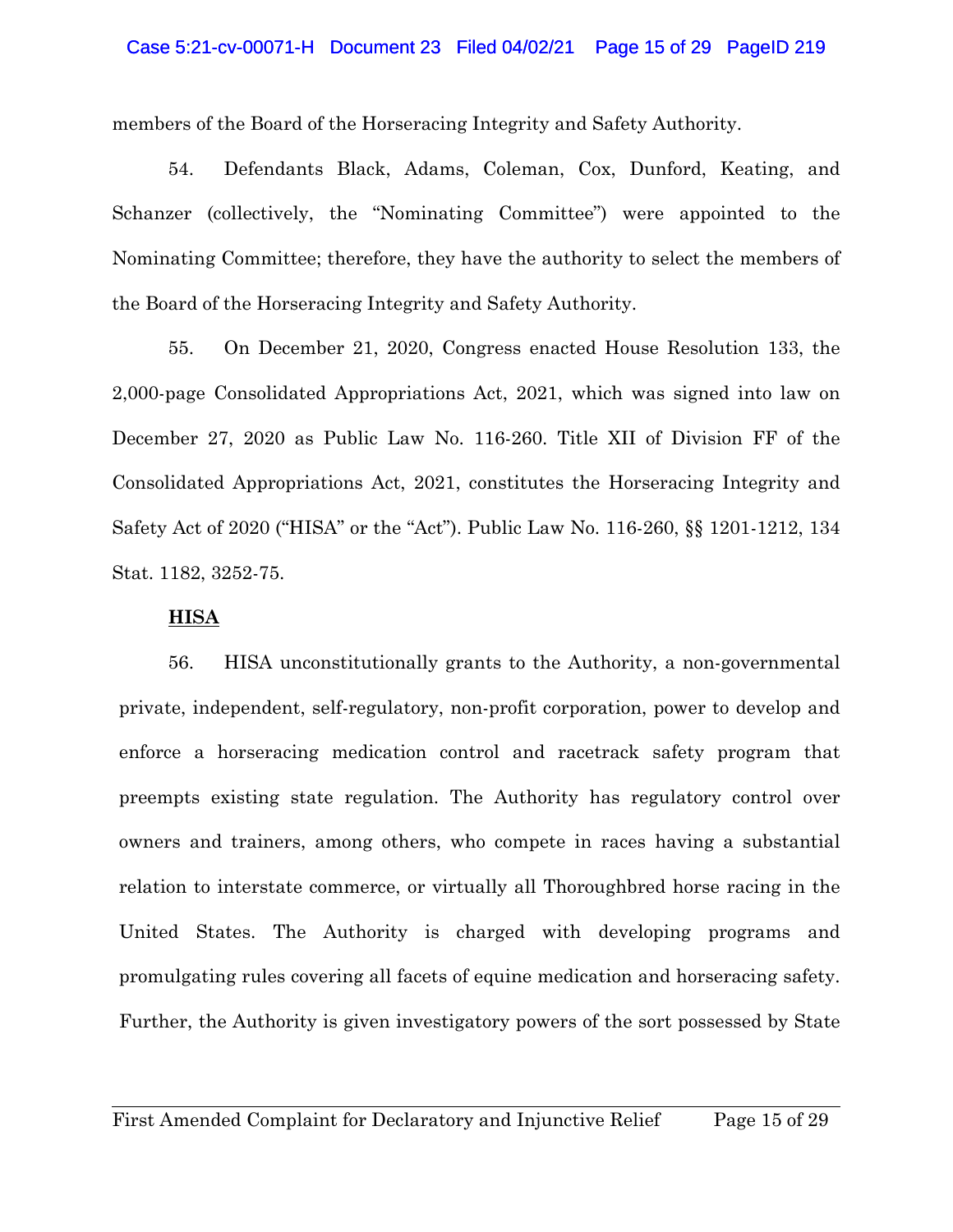#### Case 5:21-cv-00071-H Document 23 Filed 04/02/21 Page 15 of 29 PageID 219

members of the Board of the Horseracing Integrity and Safety Authority.

54. Defendants Black, Adams, Coleman, Cox, Dunford, Keating, and Schanzer (collectively, the "Nominating Committee") were appointed to the Nominating Committee; therefore, they have the authority to select the members of the Board of the Horseracing Integrity and Safety Authority.

55. On December 21, 2020, Congress enacted House Resolution 133, the 2,000-page Consolidated Appropriations Act, 2021, which was signed into law on December 27, 2020 as Public Law No. 116-260. Title XII of Division FF of the Consolidated Appropriations Act, 2021, constitutes the Horseracing Integrity and Safety Act of 2020 ("HISA" or the "Act"). Public Law No. 116-260, §§ 1201-1212, 134 Stat. 1182, 3252-75.

### **HISA**

56. HISA unconstitutionally grants to the Authority, a non-governmental private, independent, self-regulatory, non-profit corporation, power to develop and enforce a horseracing medication control and racetrack safety program that preempts existing state regulation. The Authority has regulatory control over owners and trainers, among others, who compete in races having a substantial relation to interstate commerce, or virtually all Thoroughbred horse racing in the United States. The Authority is charged with developing programs and promulgating rules covering all facets of equine medication and horseracing safety. Further, the Authority is given investigatory powers of the sort possessed by State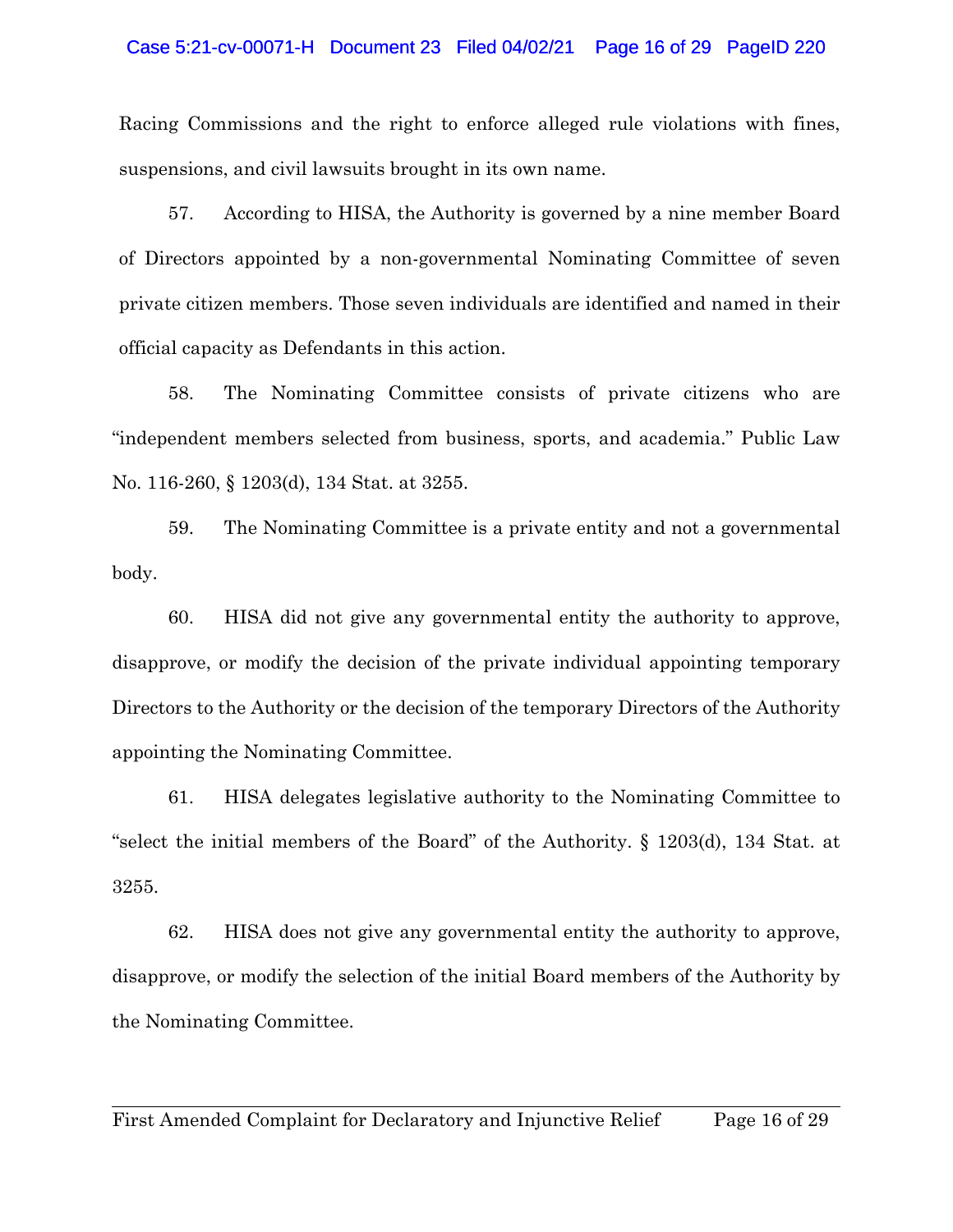#### Case 5:21-cv-00071-H Document 23 Filed 04/02/21 Page 16 of 29 PageID 220

Racing Commissions and the right to enforce alleged rule violations with fines, suspensions, and civil lawsuits brought in its own name.

57. According to HISA, the Authority is governed by a nine member Board of Directors appointed by a non-governmental Nominating Committee of seven private citizen members. Those seven individuals are identified and named in their official capacity as Defendants in this action.

58. The Nominating Committee consists of private citizens who are "independent members selected from business, sports, and academia." Public Law No. 116-260, § 1203(d), 134 Stat. at 3255.

59. The Nominating Committee is a private entity and not a governmental body.

60. HISA did not give any governmental entity the authority to approve, disapprove, or modify the decision of the private individual appointing temporary Directors to the Authority or the decision of the temporary Directors of the Authority appointing the Nominating Committee.

61. HISA delegates legislative authority to the Nominating Committee to "select the initial members of the Board" of the Authority. § 1203(d), 134 Stat. at 3255.

62. HISA does not give any governmental entity the authority to approve, disapprove, or modify the selection of the initial Board members of the Authority by the Nominating Committee.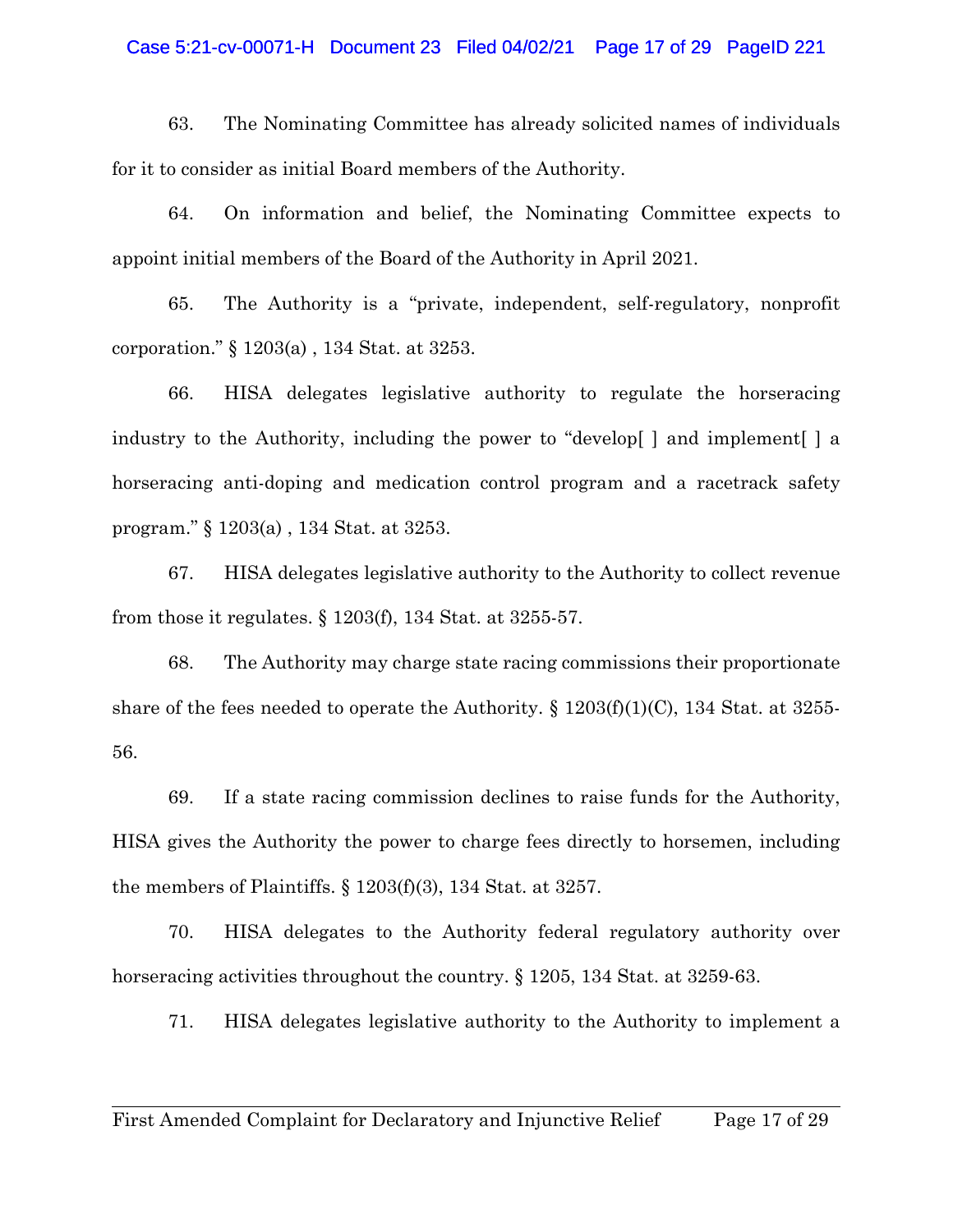#### Case 5:21-cv-00071-H Document 23 Filed 04/02/21 Page 17 of 29 PageID 221

63. The Nominating Committee has already solicited names of individuals for it to consider as initial Board members of the Authority.

64. On information and belief, the Nominating Committee expects to appoint initial members of the Board of the Authority in April 2021.

65. The Authority is a "private, independent, self-regulatory, nonprofit corporation." § 1203(a) , 134 Stat. at 3253.

66. HISA delegates legislative authority to regulate the horseracing industry to the Authority, including the power to "develop[ ] and implement[ ] a horseracing anti-doping and medication control program and a racetrack safety program." § 1203(a) , 134 Stat. at 3253.

67. HISA delegates legislative authority to the Authority to collect revenue from those it regulates. § 1203(f), 134 Stat. at 3255-57.

68. The Authority may charge state racing commissions their proportionate share of the fees needed to operate the Authority.  $\S 1203(f)(1)(C)$ , 134 Stat. at 3255-56.

69. If a state racing commission declines to raise funds for the Authority, HISA gives the Authority the power to charge fees directly to horsemen, including the members of Plaintiffs. § 1203(f)(3), 134 Stat. at 3257.

70. HISA delegates to the Authority federal regulatory authority over horseracing activities throughout the country.  $\S 1205$ , 134 Stat. at 3259-63.

71. HISA delegates legislative authority to the Authority to implement a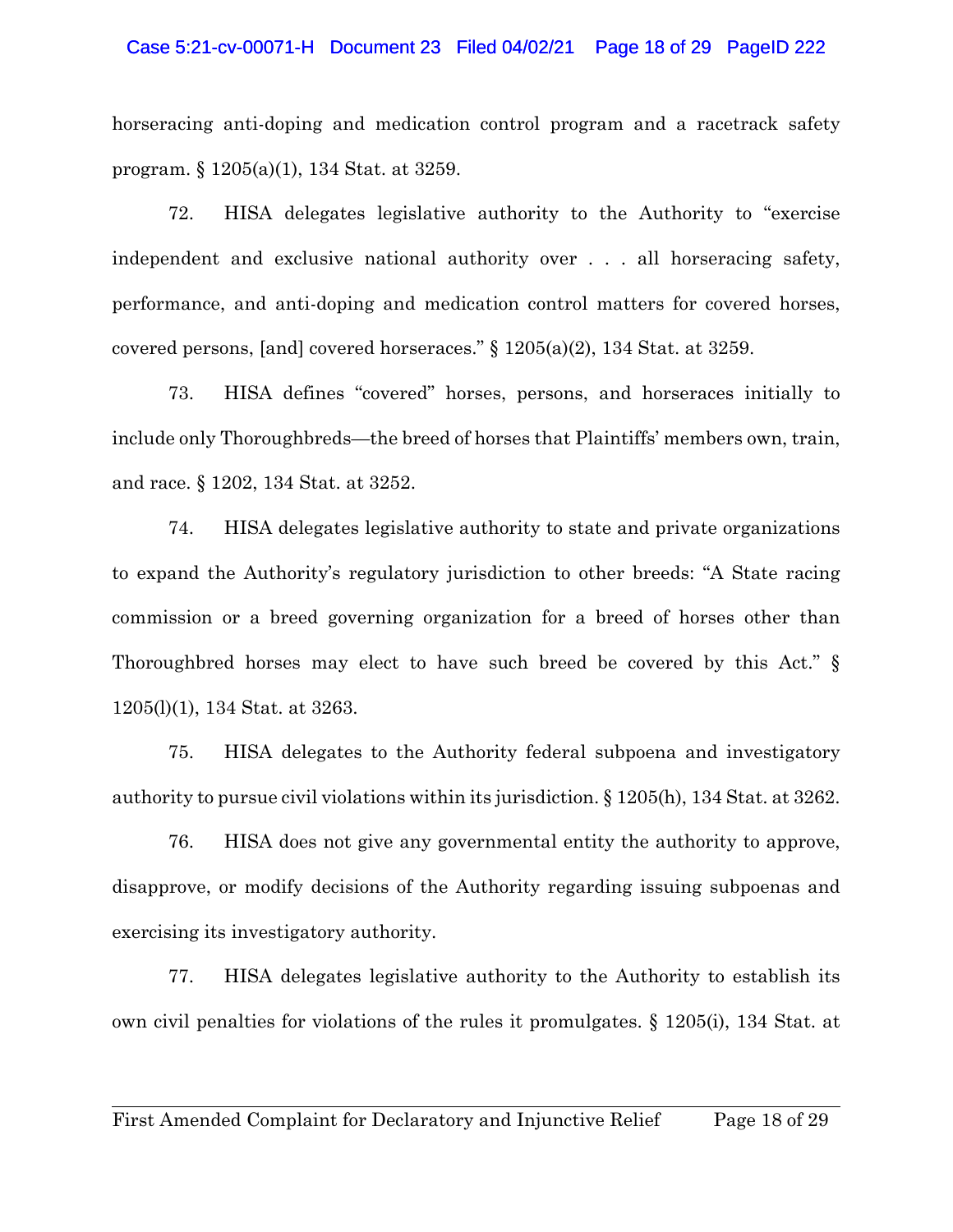#### Case 5:21-cv-00071-H Document 23 Filed 04/02/21 Page 18 of 29 PageID 222

horseracing anti-doping and medication control program and a racetrack safety program. § 1205(a)(1), 134 Stat. at 3259.

72. HISA delegates legislative authority to the Authority to "exercise independent and exclusive national authority over . . . all horseracing safety, performance, and anti-doping and medication control matters for covered horses, covered persons, [and] covered horseraces." § 1205(a)(2), 134 Stat. at 3259.

73. HISA defines "covered" horses, persons, and horseraces initially to include only Thoroughbreds—the breed of horses that Plaintiffs' members own, train, and race. § 1202, 134 Stat. at 3252.

74. HISA delegates legislative authority to state and private organizations to expand the Authority's regulatory jurisdiction to other breeds: "A State racing commission or a breed governing organization for a breed of horses other than Thoroughbred horses may elect to have such breed be covered by this Act." § 1205(l)(1), 134 Stat. at 3263.

75. HISA delegates to the Authority federal subpoena and investigatory authority to pursue civil violations within its jurisdiction. § 1205(h), 134 Stat. at 3262.

76. HISA does not give any governmental entity the authority to approve, disapprove, or modify decisions of the Authority regarding issuing subpoenas and exercising its investigatory authority.

77. HISA delegates legislative authority to the Authority to establish its own civil penalties for violations of the rules it promulgates. § 1205(i), 134 Stat. at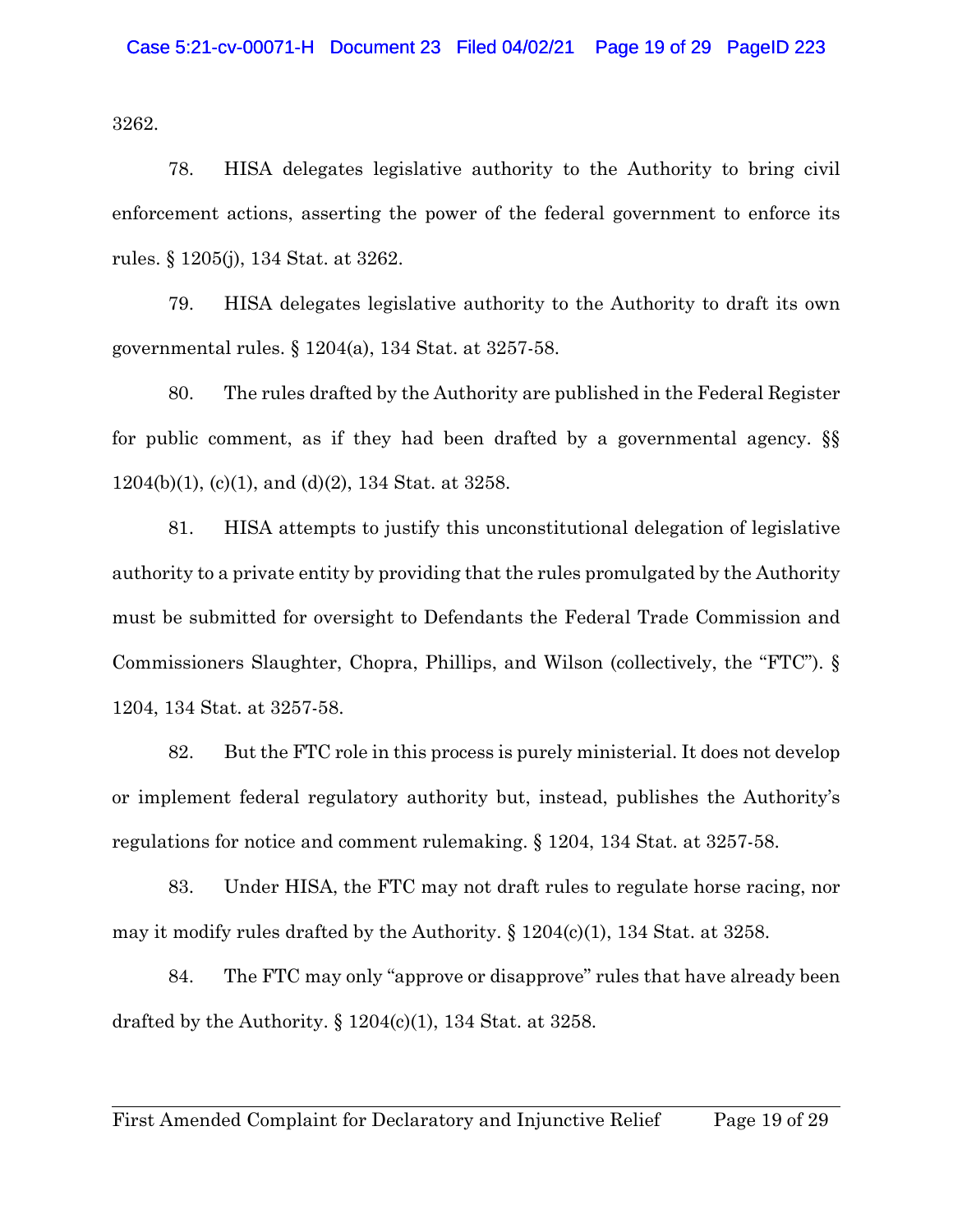3262.

78. HISA delegates legislative authority to the Authority to bring civil enforcement actions, asserting the power of the federal government to enforce its rules. § 1205(j), 134 Stat. at 3262.

79. HISA delegates legislative authority to the Authority to draft its own governmental rules. § 1204(a), 134 Stat. at 3257-58.

80. The rules drafted by the Authority are published in the Federal Register for public comment, as if they had been drafted by a governmental agency. §§  $1204(b)(1)$ , (c)(1), and (d)(2), 134 Stat. at 3258.

81. HISA attempts to justify this unconstitutional delegation of legislative authority to a private entity by providing that the rules promulgated by the Authority must be submitted for oversight to Defendants the Federal Trade Commission and Commissioners Slaughter, Chopra, Phillips, and Wilson (collectively, the "FTC"). § 1204, 134 Stat. at 3257-58.

82. But the FTC role in this process is purely ministerial. It does not develop or implement federal regulatory authority but, instead, publishes the Authority's regulations for notice and comment rulemaking. § 1204, 134 Stat. at 3257-58.

83. Under HISA, the FTC may not draft rules to regulate horse racing, nor may it modify rules drafted by the Authority.  $\S 1204(c)(1)$ , 134 Stat. at 3258.

84. The FTC may only "approve or disapprove" rules that have already been drafted by the Authority.  $\S 1204(c)(1)$ , 134 Stat. at 3258.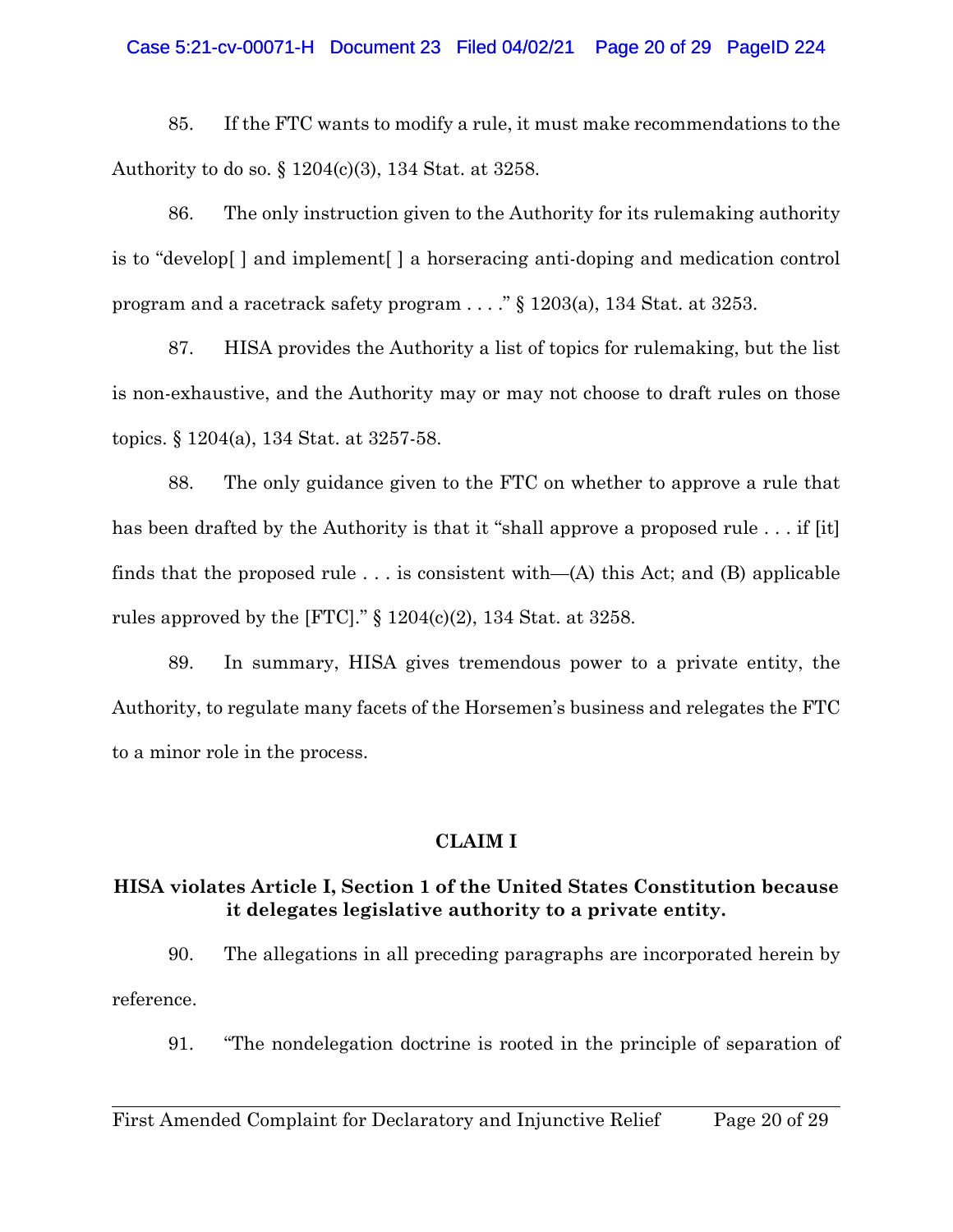### Case 5:21-cv-00071-H Document 23 Filed 04/02/21 Page 20 of 29 PageID 224

85. If the FTC wants to modify a rule, it must make recommendations to the Authority to do so. § 1204(c)(3), 134 Stat. at 3258.

86. The only instruction given to the Authority for its rulemaking authority is to "develop[ ] and implement[ ] a horseracing anti-doping and medication control program and a racetrack safety program . . . ." § 1203(a), 134 Stat. at 3253.

87. HISA provides the Authority a list of topics for rulemaking, but the list is non-exhaustive, and the Authority may or may not choose to draft rules on those topics. § 1204(a), 134 Stat. at 3257-58.

88. The only guidance given to the FTC on whether to approve a rule that has been drafted by the Authority is that it "shall approve a proposed rule . . . if [it] finds that the proposed rule  $\ldots$  is consistent with—(A) this Act; and (B) applicable rules approved by the [FTC]."  $\S$  1204(c)(2), 134 Stat. at 3258.

89. In summary, HISA gives tremendous power to a private entity, the Authority, to regulate many facets of the Horsemen's business and relegates the FTC to a minor role in the process.

## **CLAIM I**

# **HISA violates Article I, Section 1 of the United States Constitution because it delegates legislative authority to a private entity.**

90. The allegations in all preceding paragraphs are incorporated herein by reference.

91. "The nondelegation doctrine is rooted in the principle of separation of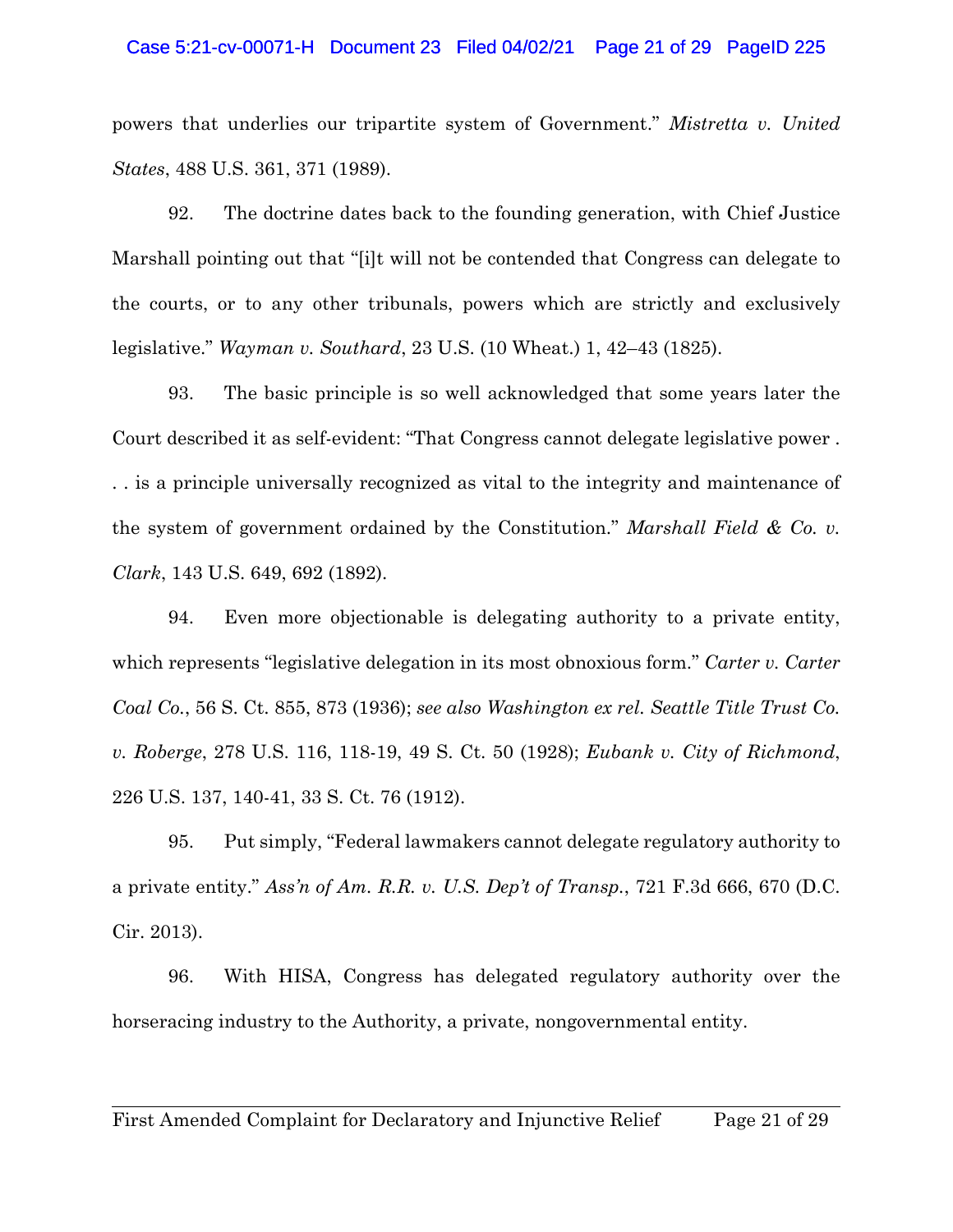#### Case 5:21-cv-00071-H Document 23 Filed 04/02/21 Page 21 of 29 PageID 225

powers that underlies our tripartite system of Government." *Mistretta v. United States*, 488 U.S. 361, 371 (1989).

92. The doctrine dates back to the founding generation, with Chief Justice Marshall pointing out that "[i]t will not be contended that Congress can delegate to the courts, or to any other tribunals, powers which are strictly and exclusively legislative." *Wayman v. Southard*, 23 U.S. (10 Wheat.) 1, 42–43 (1825).

93. The basic principle is so well acknowledged that some years later the Court described it as self-evident: "That Congress cannot delegate legislative power . . . is a principle universally recognized as vital to the integrity and maintenance of the system of government ordained by the Constitution." *Marshall Field & Co. v. Clark*, 143 U.S. 649, 692 (1892).

94. Even more objectionable is delegating authority to a private entity, which represents "legislative delegation in its most obnoxious form." *Carter v. Carter Coal Co.*, 56 S. Ct. 855, 873 (1936); *see also Washington ex rel. Seattle Title Trust Co. v. Roberge*, 278 U.S. 116, 118-19, 49 S. Ct. 50 (1928); *Eubank v. City of Richmond*, 226 U.S. 137, 140-41, 33 S. Ct. 76 (1912).

95. Put simply, "Federal lawmakers cannot delegate regulatory authority to a private entity." *Ass'n of Am. R.R. v. U.S. Dep't of Transp.*, 721 F.3d 666, 670 (D.C. Cir. 2013).

96. With HISA, Congress has delegated regulatory authority over the horseracing industry to the Authority, a private, nongovernmental entity.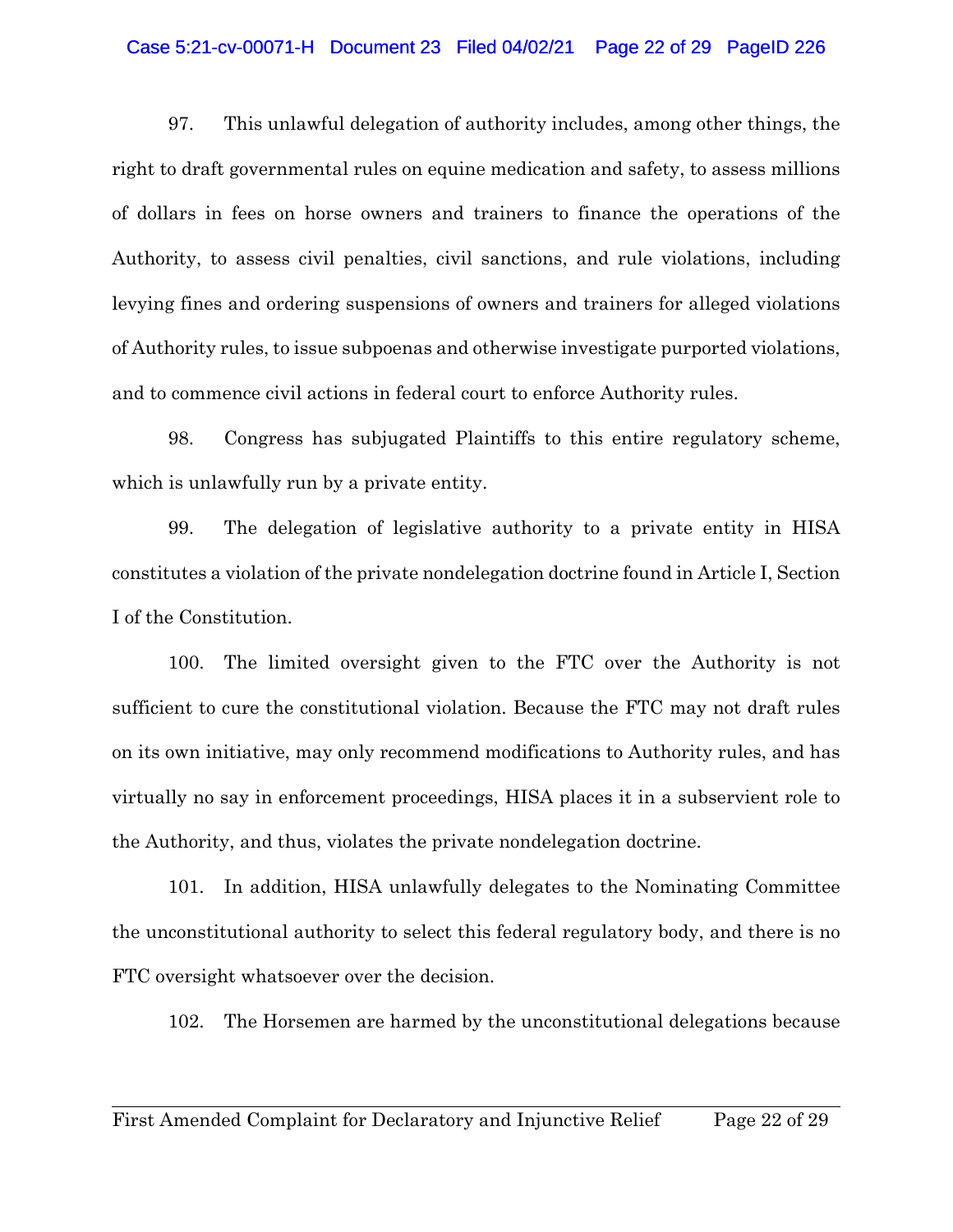#### Case 5:21-cv-00071-H Document 23 Filed 04/02/21 Page 22 of 29 PageID 226

97. This unlawful delegation of authority includes, among other things, the right to draft governmental rules on equine medication and safety, to assess millions of dollars in fees on horse owners and trainers to finance the operations of the Authority, to assess civil penalties, civil sanctions, and rule violations, including levying fines and ordering suspensions of owners and trainers for alleged violations of Authority rules, to issue subpoenas and otherwise investigate purported violations, and to commence civil actions in federal court to enforce Authority rules.

98. Congress has subjugated Plaintiffs to this entire regulatory scheme, which is unlawfully run by a private entity.

99. The delegation of legislative authority to a private entity in HISA constitutes a violation of the private nondelegation doctrine found in Article I, Section I of the Constitution.

100. The limited oversight given to the FTC over the Authority is not sufficient to cure the constitutional violation. Because the FTC may not draft rules on its own initiative, may only recommend modifications to Authority rules, and has virtually no say in enforcement proceedings, HISA places it in a subservient role to the Authority, and thus, violates the private nondelegation doctrine.

101. In addition, HISA unlawfully delegates to the Nominating Committee the unconstitutional authority to select this federal regulatory body, and there is no FTC oversight whatsoever over the decision.

102. The Horsemen are harmed by the unconstitutional delegations because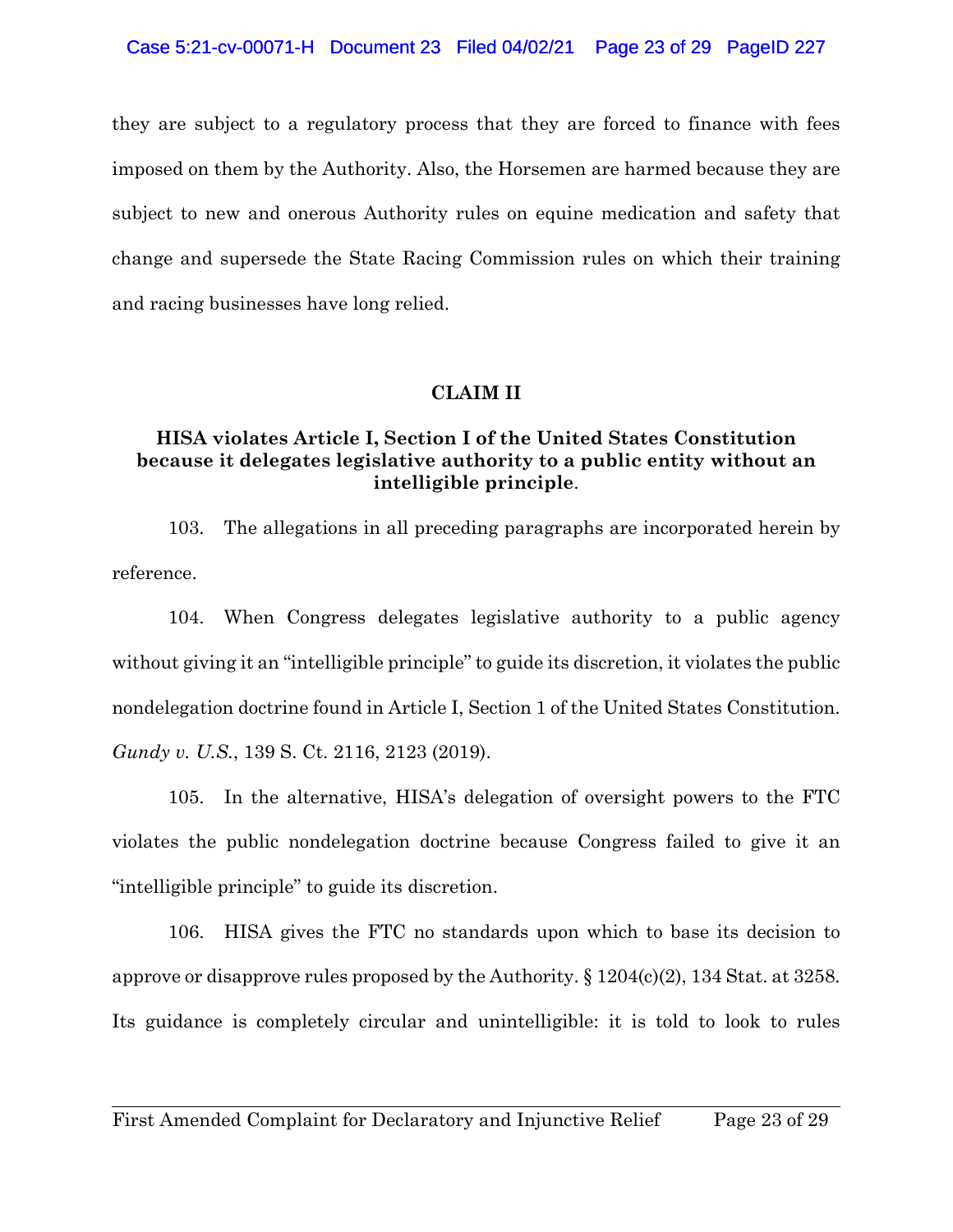they are subject to a regulatory process that they are forced to finance with fees imposed on them by the Authority. Also, the Horsemen are harmed because they are subject to new and onerous Authority rules on equine medication and safety that change and supersede the State Racing Commission rules on which their training and racing businesses have long relied.

# **CLAIM II**

# **HISA violates Article I, Section I of the United States Constitution because it delegates legislative authority to a public entity without an intelligible principle**.

103. The allegations in all preceding paragraphs are incorporated herein by reference.

104. When Congress delegates legislative authority to a public agency without giving it an "intelligible principle" to guide its discretion, it violates the public nondelegation doctrine found in Article I, Section 1 of the United States Constitution. *Gundy v. U.S.*, 139 S. Ct. 2116, 2123 (2019).

105. In the alternative, HISA's delegation of oversight powers to the FTC violates the public nondelegation doctrine because Congress failed to give it an "intelligible principle" to guide its discretion.

106. HISA gives the FTC no standards upon which to base its decision to approve or disapprove rules proposed by the Authority. § 1204(c)(2), 134 Stat. at 3258. Its guidance is completely circular and unintelligible: it is told to look to rules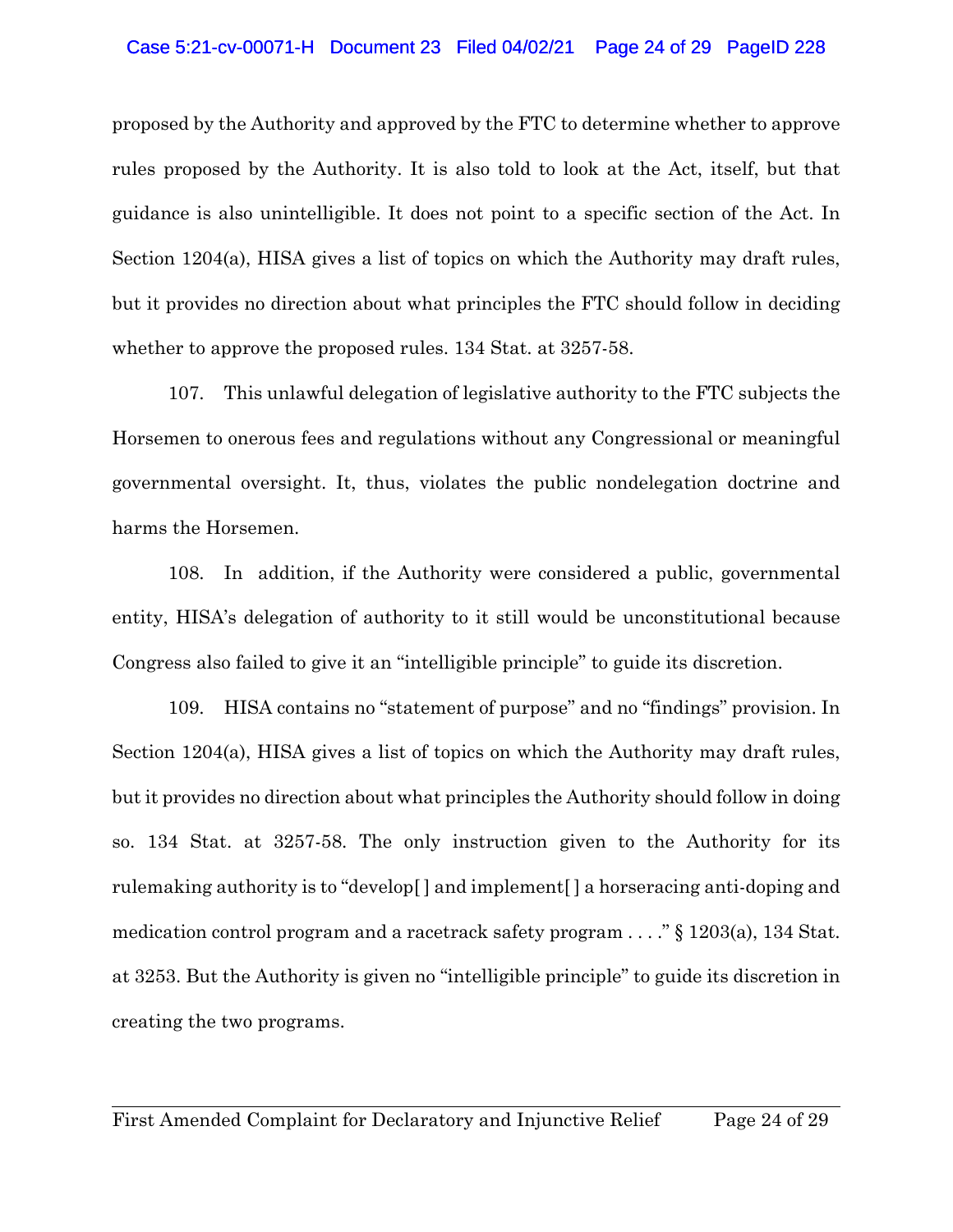## Case 5:21-cv-00071-H Document 23 Filed 04/02/21 Page 24 of 29 PageID 228

proposed by the Authority and approved by the FTC to determine whether to approve rules proposed by the Authority. It is also told to look at the Act, itself, but that guidance is also unintelligible. It does not point to a specific section of the Act. In Section 1204(a), HISA gives a list of topics on which the Authority may draft rules, but it provides no direction about what principles the FTC should follow in deciding whether to approve the proposed rules. 134 Stat. at 3257-58.

107. This unlawful delegation of legislative authority to the FTC subjects the Horsemen to onerous fees and regulations without any Congressional or meaningful governmental oversight. It, thus, violates the public nondelegation doctrine and harms the Horsemen.

108. In addition, if the Authority were considered a public, governmental entity, HISA's delegation of authority to it still would be unconstitutional because Congress also failed to give it an "intelligible principle" to guide its discretion.

109. HISA contains no "statement of purpose" and no "findings" provision. In Section 1204(a), HISA gives a list of topics on which the Authority may draft rules, but it provides no direction about what principles the Authority should follow in doing so. 134 Stat. at 3257-58. The only instruction given to the Authority for its rulemaking authority is to "develop[ ] and implement[ ] a horseracing anti-doping and medication control program and a racetrack safety program . . . ." § 1203(a), 134 Stat. at 3253. But the Authority is given no "intelligible principle" to guide its discretion in creating the two programs.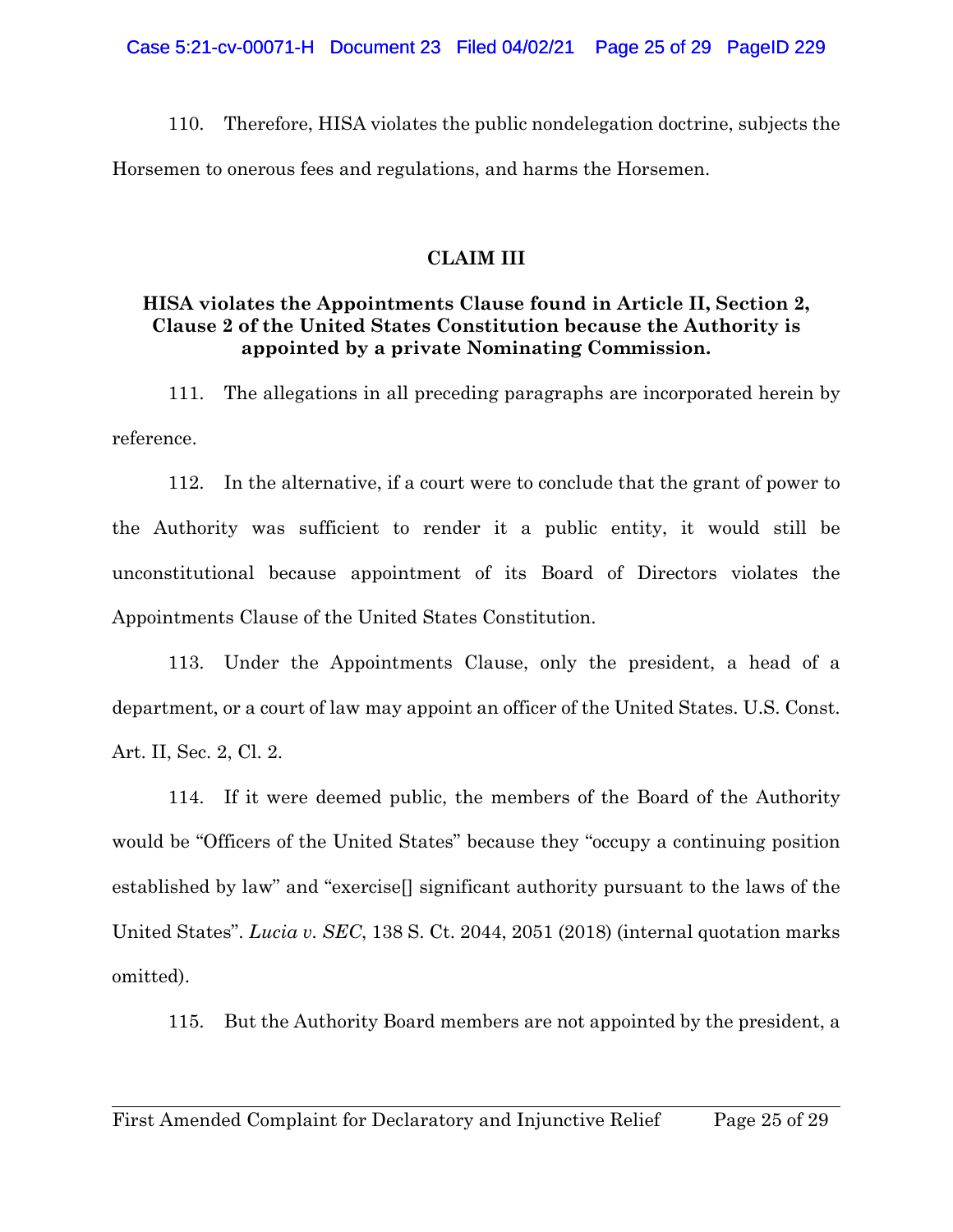110. Therefore, HISA violates the public nondelegation doctrine, subjects the Horsemen to onerous fees and regulations, and harms the Horsemen.

# **CLAIM III**

# **HISA violates the Appointments Clause found in Article II, Section 2, Clause 2 of the United States Constitution because the Authority is appointed by a private Nominating Commission.**

111. The allegations in all preceding paragraphs are incorporated herein by reference.

112. In the alternative, if a court were to conclude that the grant of power to the Authority was sufficient to render it a public entity, it would still be unconstitutional because appointment of its Board of Directors violates the Appointments Clause of the United States Constitution.

113. Under the Appointments Clause, only the president, a head of a department, or a court of law may appoint an officer of the United States. U.S. Const. Art. II, Sec. 2, Cl. 2.

114. If it were deemed public, the members of the Board of the Authority would be "Officers of the United States" because they "occupy a continuing position established by law" and "exercise[] significant authority pursuant to the laws of the United States". *Lucia v. SEC*, 138 S. Ct. 2044, 2051 (2018) (internal quotation marks omitted).

115. But the Authority Board members are not appointed by the president, a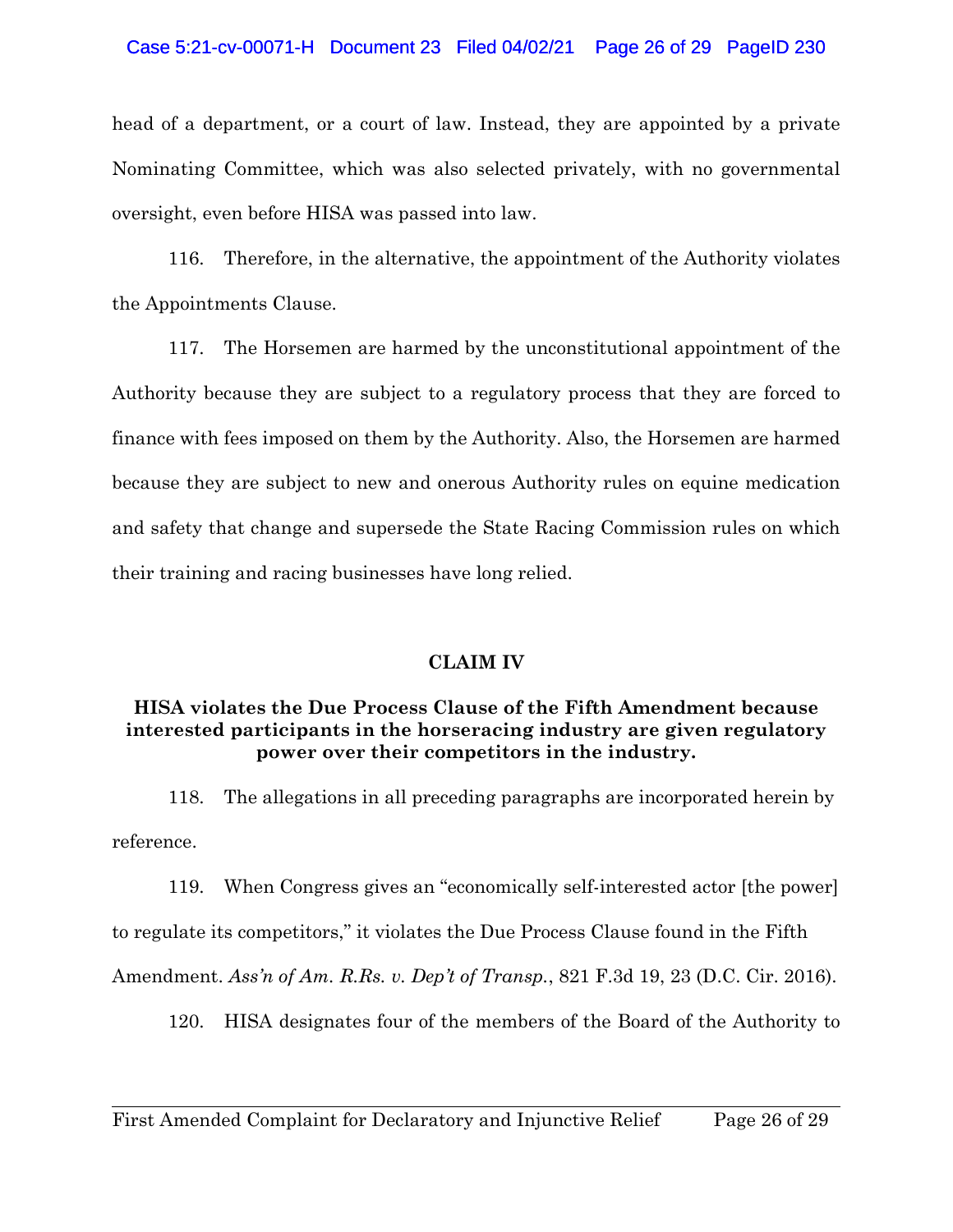## Case 5:21-cv-00071-H Document 23 Filed 04/02/21 Page 26 of 29 PageID 230

head of a department, or a court of law. Instead, they are appointed by a private Nominating Committee, which was also selected privately, with no governmental oversight, even before HISA was passed into law.

116. Therefore, in the alternative, the appointment of the Authority violates the Appointments Clause.

117. The Horsemen are harmed by the unconstitutional appointment of the Authority because they are subject to a regulatory process that they are forced to finance with fees imposed on them by the Authority. Also, the Horsemen are harmed because they are subject to new and onerous Authority rules on equine medication and safety that change and supersede the State Racing Commission rules on which their training and racing businesses have long relied.

## **CLAIM IV**

# **HISA violates the Due Process Clause of the Fifth Amendment because interested participants in the horseracing industry are given regulatory power over their competitors in the industry.**

118. The allegations in all preceding paragraphs are incorporated herein by reference.

119. When Congress gives an "economically self-interested actor [the power] to regulate its competitors," it violates the Due Process Clause found in the Fifth Amendment. *Ass'n of Am. R.Rs. v. Dep't of Transp.*, 821 F.3d 19, 23 (D.C. Cir. 2016).

120. HISA designates four of the members of the Board of the Authority to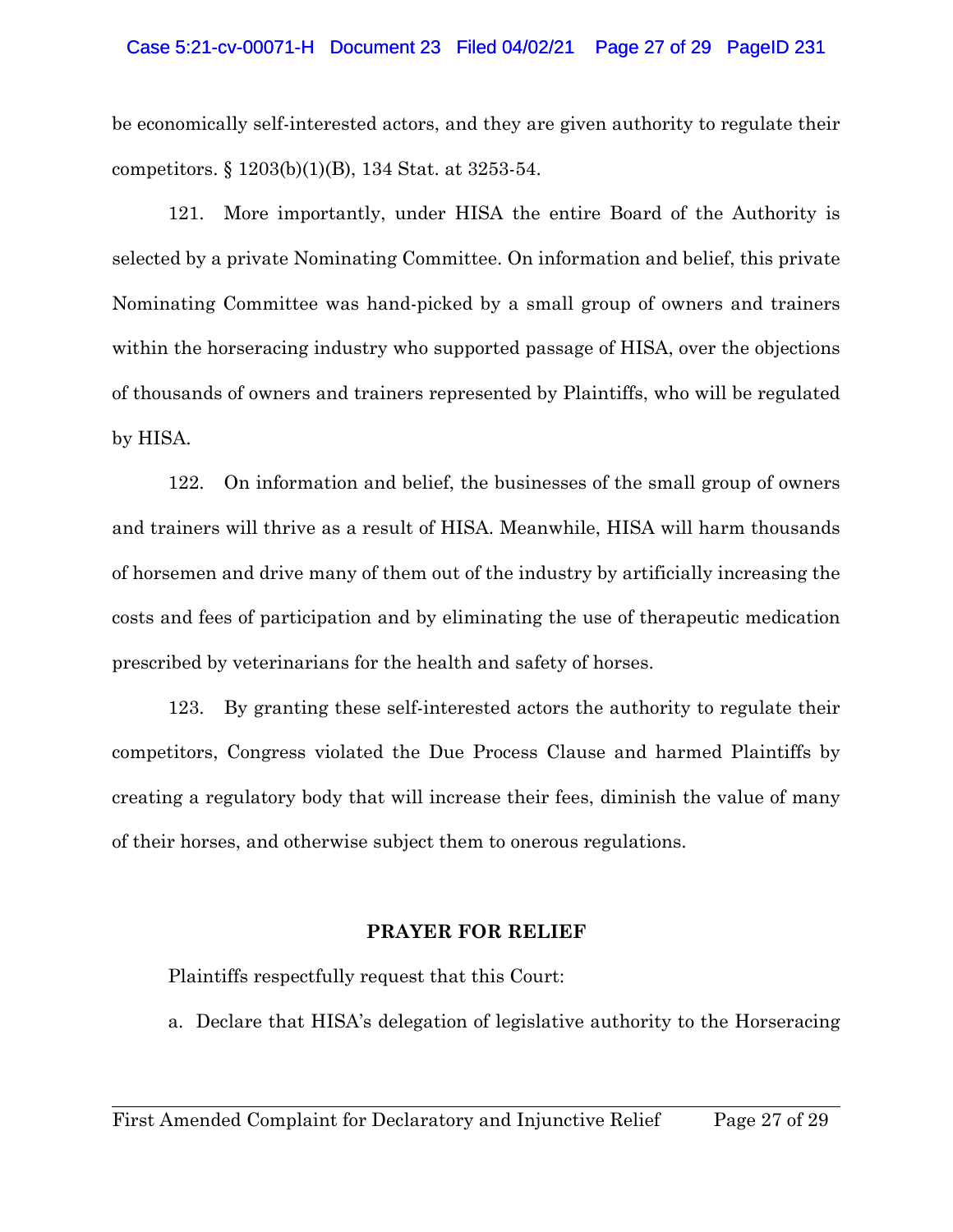### Case 5:21-cv-00071-H Document 23 Filed 04/02/21 Page 27 of 29 PageID 231

be economically self-interested actors, and they are given authority to regulate their competitors. § 1203(b)(1)(B), 134 Stat. at 3253-54.

121. More importantly, under HISA the entire Board of the Authority is selected by a private Nominating Committee. On information and belief, this private Nominating Committee was hand-picked by a small group of owners and trainers within the horseracing industry who supported passage of HISA, over the objections of thousands of owners and trainers represented by Plaintiffs, who will be regulated by HISA.

122. On information and belief, the businesses of the small group of owners and trainers will thrive as a result of HISA. Meanwhile, HISA will harm thousands of horsemen and drive many of them out of the industry by artificially increasing the costs and fees of participation and by eliminating the use of therapeutic medication prescribed by veterinarians for the health and safety of horses.

123. By granting these self-interested actors the authority to regulate their competitors, Congress violated the Due Process Clause and harmed Plaintiffs by creating a regulatory body that will increase their fees, diminish the value of many of their horses, and otherwise subject them to onerous regulations.

# **PRAYER FOR RELIEF**

Plaintiffs respectfully request that this Court:

a. Declare that HISA's delegation of legislative authority to the Horseracing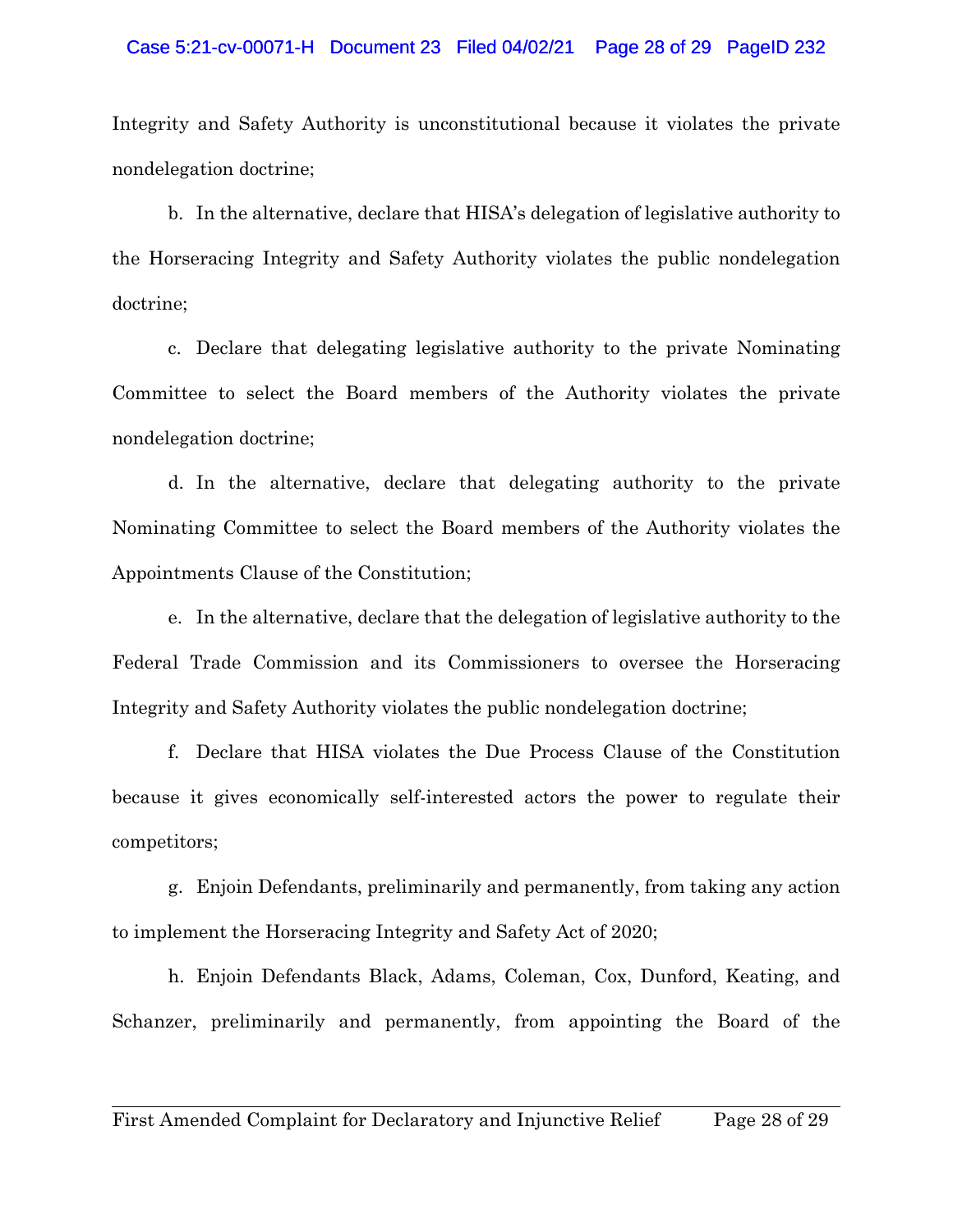### Case 5:21-cv-00071-H Document 23 Filed 04/02/21 Page 28 of 29 PageID 232

Integrity and Safety Authority is unconstitutional because it violates the private nondelegation doctrine;

b. In the alternative, declare that HISA's delegation of legislative authority to the Horseracing Integrity and Safety Authority violates the public nondelegation doctrine;

c. Declare that delegating legislative authority to the private Nominating Committee to select the Board members of the Authority violates the private nondelegation doctrine;

d. In the alternative, declare that delegating authority to the private Nominating Committee to select the Board members of the Authority violates the Appointments Clause of the Constitution;

e. In the alternative, declare that the delegation of legislative authority to the Federal Trade Commission and its Commissioners to oversee the Horseracing Integrity and Safety Authority violates the public nondelegation doctrine;

f. Declare that HISA violates the Due Process Clause of the Constitution because it gives economically self-interested actors the power to regulate their competitors;

g. Enjoin Defendants, preliminarily and permanently, from taking any action to implement the Horseracing Integrity and Safety Act of 2020;

h. Enjoin Defendants Black, Adams, Coleman, Cox, Dunford, Keating, and Schanzer, preliminarily and permanently, from appointing the Board of the